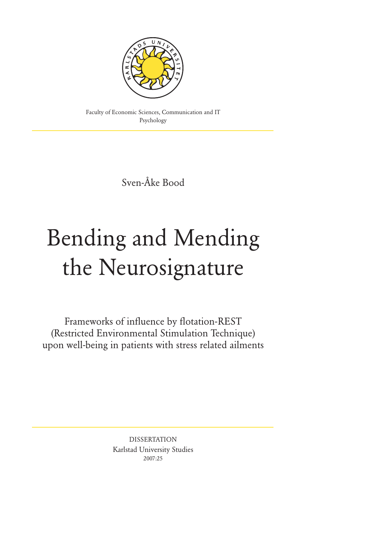

Faculty of Economic Sciences, Communication and IT Psychology

Sven-Åke Bood

# Bending and Mending the Neurosignature

Frameworks of influence by flotation-REST (Restricted Environmental Stimulation Technique) upon well-being in patients with stress related ailments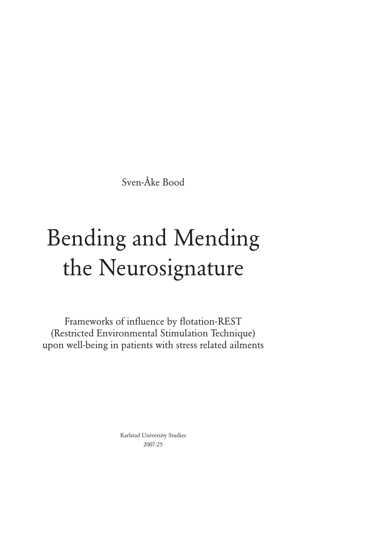Sven-Åke Bood

# Bending and Mending the Neurosignature

Frameworks of influence by flotation-REST (Restricted Environmental Stimulation Technique) upon well-being in patients with stress related ailments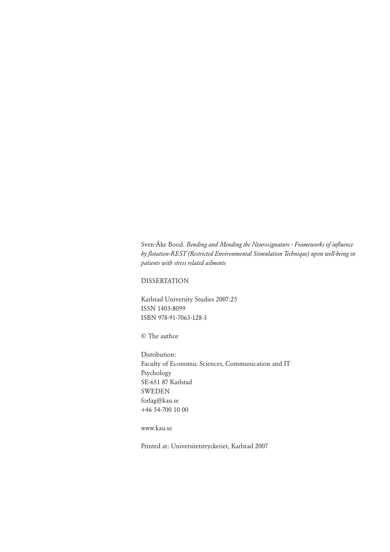Sven-Åke Bood. *Bending and Mending the Neurosignature - Frameworks of influence by flotation-REST (Restricted Environmental Stimulation Technique) upon well-being in patients with stress related ailments*

# DISSERTATION

Karlstad University Studies 2007:25 ISSN 1403-8099 ISBN 978-91-7063-128-3

© The author

Distribution: Faculty of Economic Sciences, Communication and IT Psychology SE-651 87 Karlstad SWEDEN forlag@kau.se +46 54-700 10 00

# www.kau.se

Printed at: Universitetstryckeriet, Karlstad 2007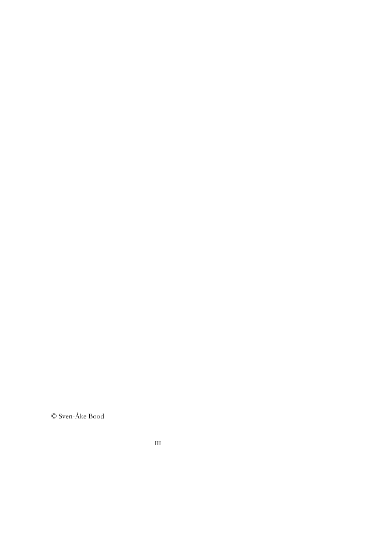© Sven-Åke Bood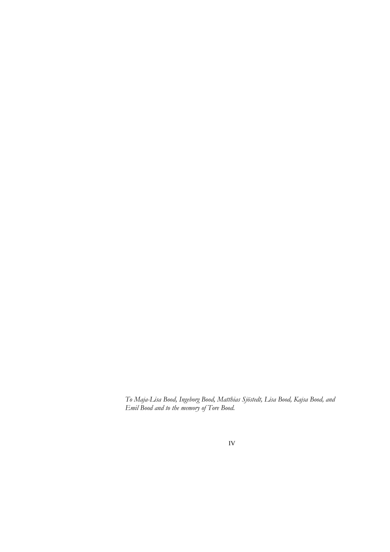*To Maja-Lisa Bood, Ingeborg Bood, Matthias Sjöstedt, Lisa Bood, Kajsa Bood, and Emil Bood and to the memory of Tore Bood.*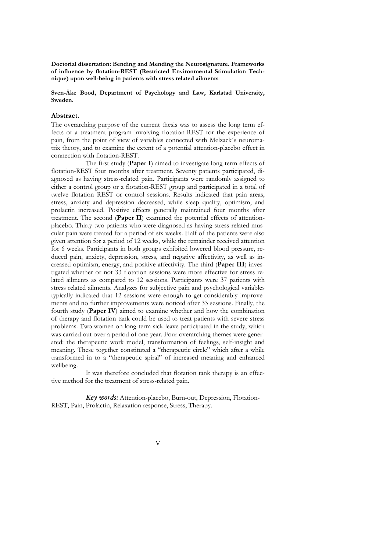**Doctorial dissertation: Bending and Mending the Neurosignature. Frameworks of influence by flotation-REST (Restricted Environmental Stimulation Technique) upon well-being in patients with stress related ailments** 

#### **Sven-Åke Bood, Department of Psychology and Law, Karlstad University, Sweden.**

#### **Abstract.**

The overarching purpose of the current thesis was to assess the long term effects of a treatment program involving flotation-REST for the experience of pain, from the point of view of variables connected with Melzack´s neuromatrix theory, and to examine the extent of a potential attention-placebo effect in connection with flotation-REST.

 The first study (**Paper I**) aimed to investigate long-term effects of flotation-REST four months after treatment. Seventy patients participated, diagnosed as having stress-related pain. Participants were randomly assigned to either a control group or a flotation-REST group and participated in a total of twelve flotation REST or control sessions. Results indicated that pain areas, stress, anxiety and depression decreased, while sleep quality, optimism, and prolactin increased. Positive effects generally maintained four months after treatment. The second (**Paper II**) examined the potential effects of attentionplacebo. Thirty-two patients who were diagnosed as having stress-related muscular pain were treated for a period of six weeks. Half of the patients were also given attention for a period of 12 weeks, while the remainder received attention for 6 weeks. Participants in both groups exhibited lowered blood pressure, reduced pain, anxiety, depression, stress, and negative affectivity, as well as increased optimism, energy, and positive affectivity. The third (**Paper III**) investigated whether or not 33 flotation sessions were more effective for stress related ailments as compared to 12 sessions. Participants were 37 patients with stress related ailments. Analyzes for subjective pain and psychological variables typically indicated that 12 sessions were enough to get considerably improvements and no further improvements were noticed after 33 sessions. Finally, the fourth study (**Paper IV**) aimed to examine whether and how the combination of therapy and flotation tank could be used to treat patients with severe stress problems. Two women on long-term sick-leave participated in the study, which was carried out over a period of one year. Four overarching themes were generated: the therapeutic work model, transformation of feelings, self-insight and meaning. These together constituted a "therapeutic circle" which after a while transformed in to a "therapeutic spiral" of increased meaning and enhanced wellbeing.

 It was therefore concluded that flotation tank therapy is an effective method for the treatment of stress-related pain.

 *Key words:* Attention-placebo, Burn-out, Depression, Flotation-REST, Pain, Prolactin, Relaxation response, Stress, Therapy.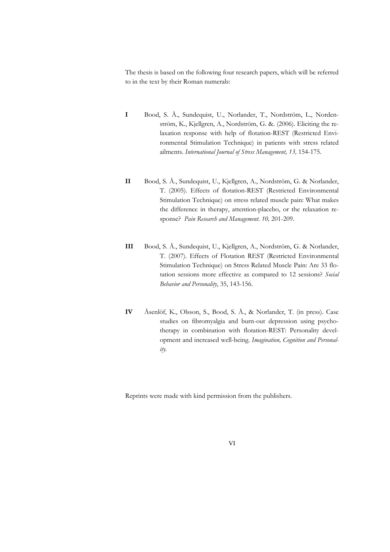The thesis is based on the following four research papers, which will be referred to in the text by their Roman numerals:

- **I** Bood, S. Å., Sundequist, U., Norlander, T., Nordström, L., Nordenström, K., Kjellgren, A., Nordström, G. &. (2006). Eliciting the relaxation response with help of flotation-REST (Restricted Environmental Stimulation Technique) in patients with stress related ailments. *International Journal of Stress Management, 13,* 154-175*.*
- **II** Bood, S. Å., Sundequist, U., Kjellgren, A., Nordström, G. & Norlander, T. (2005). Effects of flotation-REST (Restricted Environmental Stimulation Technique) on stress related muscle pain: What makes the difference in therapy, attention-placebo, or the relaxation response? *Pain Research and Management. 10,* 201-209.
- **III** Bood, S. Å., Sundequist, U., Kjellgren, A., Nordström, G. & Norlander, T. (2007). Effects of Flotation REST (Restricted Environmental Stimulation Technique) on Stress Related Muscle Pain: Are 33 flotation sessions more effective as compared to 12 sessions? *Social Behavior and Personality*, 35, 143-156.
- **IV** Åsenlöf, K., Olsson, S., Bood, S. Å., & Norlander, T. (in press). Case studies on fibromyalgia and burn-out depression using psychotherapy in combination with flotation-REST: Personality development and increased well-being. *Imagination, Cognition and Personality.*

Reprints were made with kind permission from the publishers.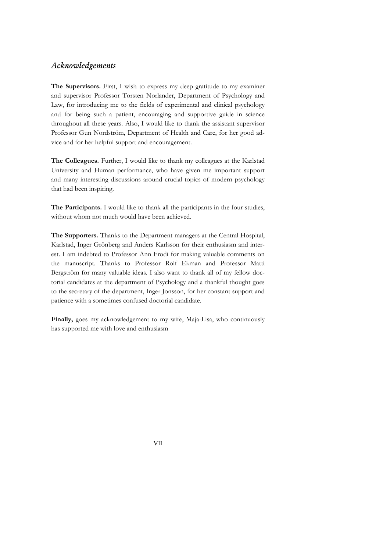# *Acknowledgements*

**The Supervisors.** First, I wish to express my deep gratitude to my examiner and supervisor Professor Torsten Norlander, Department of Psychology and Law, for introducing me to the fields of experimental and clinical psychology and for being such a patient, encouraging and supportive guide in science throughout all these years. Also, I would like to thank the assistant supervisor Professor Gun Nordström, Department of Health and Care, for her good advice and for her helpful support and encouragement.

**The Colleagues.** Further, I would like to thank my colleagues at the Karlstad University and Human performance, who have given me important support and many interesting discussions around crucial topics of modern psychology that had been inspiring.

**The Participants.** I would like to thank all the participants in the four studies, without whom not much would have been achieved.

**The Supporters.** Thanks to the Department managers at the Central Hospital, Karlstad, Inger Grönberg and Anders Karlsson for their enthusiasm and interest. I am indebted to Professor Ann Frodi for making valuable comments on the manuscript. Thanks to Professor Rolf Ekman and Professor Matti Bergström for many valuable ideas. I also want to thank all of my fellow doctorial candidates at the department of Psychology and a thankful thought goes to the secretary of the department, Inger Jonsson, for her constant support and patience with a sometimes confused doctorial candidate.

Finally, goes my acknowledgement to my wife, Maja-Lisa, who continuously has supported me with love and enthusiasm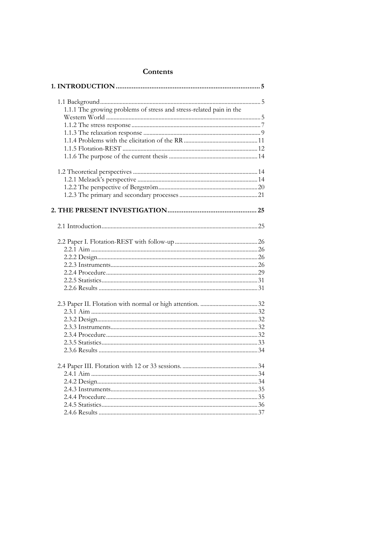| 1.1.1 The growing problems of stress and stress-related pain in the |
|---------------------------------------------------------------------|
|                                                                     |
|                                                                     |
|                                                                     |
|                                                                     |
|                                                                     |
|                                                                     |
|                                                                     |
|                                                                     |
|                                                                     |
|                                                                     |
|                                                                     |
|                                                                     |
|                                                                     |
|                                                                     |
|                                                                     |
|                                                                     |
|                                                                     |
|                                                                     |
|                                                                     |
|                                                                     |
|                                                                     |
|                                                                     |
|                                                                     |
|                                                                     |
|                                                                     |
|                                                                     |
|                                                                     |
|                                                                     |
|                                                                     |
|                                                                     |
|                                                                     |
|                                                                     |
|                                                                     |
|                                                                     |
|                                                                     |
|                                                                     |

# Contents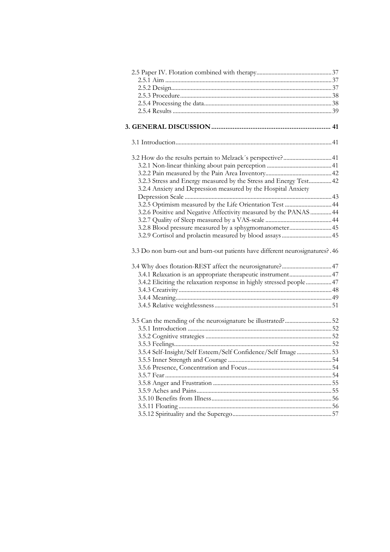| 3.2 How do the results pertain to Melzack's perspective? 41                   |    |
|-------------------------------------------------------------------------------|----|
|                                                                               |    |
|                                                                               |    |
| 3.2.3 Stress and Energy measured by the Stress and Energy Test 42             |    |
| 3.2.4 Anxiety and Depression measured by the Hospital Anxiety                 |    |
|                                                                               |    |
| 3.2.5 Optimism measured by the Life Orientation Test  44                      |    |
| 3.2.6 Positive and Negative Affectivity measured by the PANAS  44             |    |
|                                                                               |    |
| 3.2.8 Blood pressure measured by a sphygmomanometer45                         |    |
|                                                                               |    |
|                                                                               |    |
| 3.3 Do non burn-out and burn-out patients have different neurosignatures? .46 |    |
|                                                                               |    |
| 3.4.1 Relaxation is an appropriate therapeutic instrument 47                  |    |
| 3.4.2 Eliciting the relaxation response in highly stressed people 47          |    |
|                                                                               |    |
|                                                                               |    |
|                                                                               |    |
|                                                                               |    |
|                                                                               |    |
|                                                                               |    |
|                                                                               |    |
|                                                                               |    |
| 3.5.4 Self-Insight/Self Esteem/Self Confidence/Self Image53                   |    |
|                                                                               |    |
|                                                                               | 54 |
|                                                                               |    |
|                                                                               |    |
|                                                                               |    |
|                                                                               |    |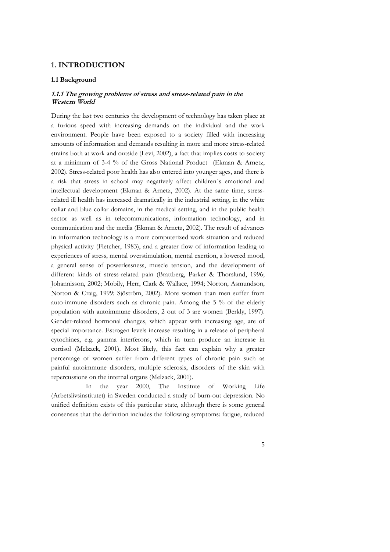# **1. INTRODUCTION**

#### **1.1 Background**

### **1.1.1 The growing problems of stress and stress-related pain in the Western World**

During the last two centuries the development of technology has taken place at a furious speed with increasing demands on the individual and the work environment. People have been exposed to a society filled with increasing amounts of information and demands resulting in more and more stress-related strains both at work and outside (Levi, 2002), a fact that implies costs to society at a minimum of 3-4 % of the Gross National Product (Ekman & Arnetz, 2002). Stress-related poor health has also entered into younger ages, and there is a risk that stress in school may negatively affect children´s emotional and intellectual development (Ekman & Arnetz, 2002). At the same time, stressrelated ill health has increased dramatically in the industrial setting, in the white collar and blue collar domains, in the medical setting, and in the public health sector as well as in telecommunications, information technology, and in communication and the media (Ekman & Arnetz, 2002). The result of advances in information technology is a more computerized work situation and reduced physical activity (Fletcher, 1983), and a greater flow of information leading to experiences of stress, mental overstimulation, mental exertion, a lowered mood, a general sense of powerlessness, muscle tension, and the development of different kinds of stress-related pain (Brattberg, Parker & Thorslund, 1996; Johannisson, 2002; Mobily, Herr, Clark & Wallace, 1994; Norton, Asmundson, Norton & Craig, 1999; Sjöström, 2002). More women than men suffer from auto-immune disorders such as chronic pain. Among the 5 % of the elderly population with autoimmune disorders, 2 out of 3 are women (Berkly, 1997). Gender-related hormonal changes, which appear with increasing age, are of special importance. Estrogen levels increase resulting in a release of peripheral cytochines, e.g. gamma interferons, which in turn produce an increase in cortisol (Melzack, 2001). Most likely, this fact can explain why a greater percentage of women suffer from different types of chronic pain such as painful autoimmune disorders, multiple sclerosis, disorders of the skin with repercussions on the internal organs (Melzack, 2001).

 In the year 2000, The Institute of Working Life (Arbetslivsinstitutet) in Sweden conducted a study of burn-out depression. No unified definition exists of this particular state, although there is some general consensus that the definition includes the following symptoms: fatigue, reduced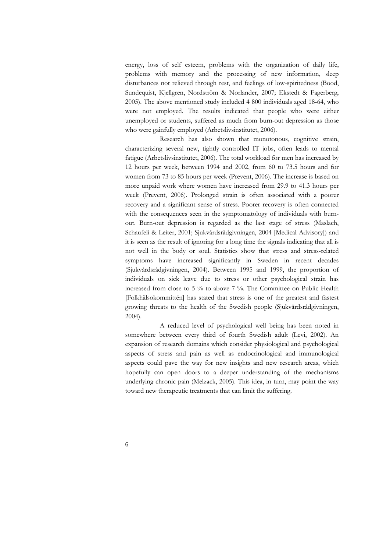energy, loss of self esteem, problems with the organization of daily life, problems with memory and the processing of new information, sleep disturbances not relieved through rest, and feelings of low-spiritedness (Bood, Sundequist, Kjellgren, Nordström & Norlander, 2007; Ekstedt & Fagerberg, 2005). The above mentioned study included 4 800 individuals aged 18-64, who were not employed. The results indicated that people who were either unemployed or students, suffered as much from burn-out depression as those who were gainfully employed (Arbetslivsinstitutet, 2006).

 Research has also shown that monotonous, cognitive strain, characterizing several new, tightly controlled IT jobs, often leads to mental fatigue (Arbetslivsinstitutet, 2006). The total workload for men has increased by 12 hours per week, between 1994 and 2002, from 60 to 73.5 hours and for women from 73 to 85 hours per week (Prevent, 2006). The increase is based on more unpaid work where women have increased from 29.9 to 41.3 hours per week (Prevent, 2006). Prolonged strain is often associated with a poorer recovery and a significant sense of stress. Poorer recovery is often connected with the consequences seen in the symptomatology of individuals with burnout. Burn-out depression is regarded as the last stage of stress (Maslach, Schaufeli & Leiter, 2001; Sjukvårdsrådgivningen, 2004 [Medical Advisory]) and it is seen as the result of ignoring for a long time the signals indicating that all is not well in the body or soul. Statistics show that stress and stress-related symptoms have increased significantly in Sweden in recent decades (Sjukvårdsrådgivningen, 2004). Between 1995 and 1999, the proportion of individuals on sick leave due to stress or other psychological strain has increased from close to 5 % to above 7 %. The Committee on Public Health [Folkhälsokommittén] has stated that stress is one of the greatest and fastest growing threats to the health of the Swedish people (Sjukvårdsrådgivningen, 2004).

 A reduced level of psychological well being has been noted in somewhere between every third of fourth Swedish adult (Levi, 2002). An expansion of research domains which consider physiological and psychological aspects of stress and pain as well as endocrinological and immunological aspects could pave the way for new insights and new research areas, which hopefully can open doors to a deeper understanding of the mechanisms underlying chronic pain (Melzack, 2005). This idea, in turn, may point the way toward new therapeutic treatments that can limit the suffering.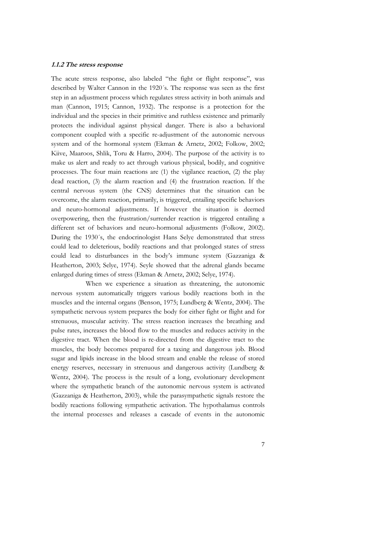#### **1.1.2 The stress response**

The acute stress response, also labeled "the fight or flight response", was described by Walter Cannon in the 1920´s. The response was seen as the first step in an adjustment process which regulates stress activity in both animals and man (Cannon, 1915; Cannon, 1932). The response is a protection for the individual and the species in their primitive and ruthless existence and primarily protects the individual against physical danger. There is also a behavioral component coupled with a specific re-adjustment of the autonomic nervous system and of the hormonal system (Ekman & Arnetz, 2002; Folkow, 2002; Kiive, Maaroos, Shlik, Toru & Harro, 2004). The purpose of the activity is to make us alert and ready to act through various physical, bodily, and cognitive processes. The four main reactions are (1) the vigilance reaction, (2) the play dead reaction, (3) the alarm reaction and (4) the frustration reaction. If the central nervous system (the CNS) determines that the situation can be overcome, the alarm reaction, primarily, is triggered, entailing specific behaviors and neuro-hormonal adjustments. If however the situation is deemed overpowering, then the frustration/surrender reaction is triggered entailing a different set of behaviors and neuro-hormonal adjustments (Folkow, 2002). During the 1930´s, the endocrinologist Hans Selye demonstrated that stress could lead to deleterious, bodily reactions and that prolonged states of stress could lead to disturbances in the body's immune system (Gazzaniga & Heatherton, 2003; Selye, 1974). Seyle showed that the adrenal glands became enlarged during times of stress (Ekman & Arnetz, 2002; Selye, 1974).

 When we experience a situation as threatening, the autonomic nervous system automatically triggers various bodily reactions both in the muscles and the internal organs (Benson, 1975; Lundberg & Wentz, 2004). The sympathetic nervous system prepares the body for either fight or flight and for strenuous, muscular activity. The stress reaction increases the breathing and pulse rates, increases the blood flow to the muscles and reduces activity in the digestive tract. When the blood is re-directed from the digestive tract to the muscles, the body becomes prepared for a taxing and dangerous job. Blood sugar and lipids increase in the blood stream and enable the release of stored energy reserves, necessary in strenuous and dangerous activity (Lundberg & Wentz, 2004). The process is the result of a long, evolutionary development where the sympathetic branch of the autonomic nervous system is activated (Gazzaniga & Heatherton, 2003), while the parasympathetic signals restore the bodily reactions following sympathetic activation. The hypothalamus controls the internal processes and releases a cascade of events in the autonomic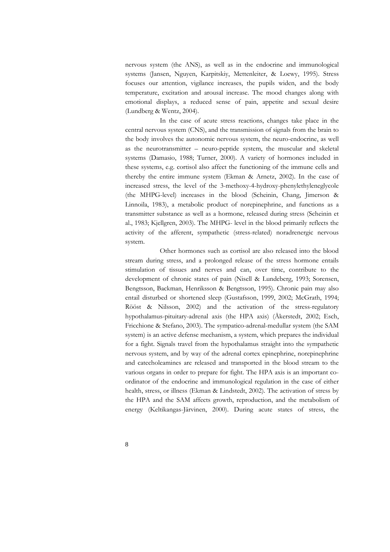nervous system (the ANS), as well as in the endocrine and immunological systems (Jansen, Nguyen, Karpitskiy, Mettenleiter, & Loewy, 1995). Stress focuses our attention, vigilance increases, the pupils widen, and the body temperature, excitation and arousal increase. The mood changes along with emotional displays, a reduced sense of pain, appetite and sexual desire (Lundberg & Wentz, 2004).

 In the case of acute stress reactions, changes take place in the central nervous system (CNS), and the transmission of signals from the brain to the body involves the autonomic nervous system, the neuro-endocrine, as well as the neurotransmitter – neuro-peptide system, the muscular and skeletal systems (Damasio, 1988; Turner, 2000). A variety of hormones included in these systems, e.g. cortisol also affect the functioning of the immune cells and thereby the entire immune system (Ekman & Arnetz, 2002). In the case of increased stress, the level of the 3-methoxy-4-hydroxy-phenylethyleneglycole (the MHPG-level) increases in the blood (Scheinin, Chang, Jimerson & Linnoila, 1983), a metabolic product of norepinephrine, and functions as a transmitter substance as well as a hormone, released during stress (Scheinin et al., 1983; Kjellgren, 2003). The MHPG- level in the blood primarily reflects the activity of the afferent, sympathetic (stress-related) noradrenergic nervous system.

Other hormones such as cortisol are also released into the blood stream during stress, and a prolonged release of the stress hormone entails stimulation of tissues and nerves and can, over time, contribute to the development of chronic states of pain (Nisell & Lundeberg, 1993; Sorensen, Bengtsson, Backman, Henriksson & Bengtsson, 1995). Chronic pain may also entail disturbed or shortened sleep (Gustafsson, 1999, 2002; McGrath, 1994; Rööst & Nilsson, 2002) and the activation of the stress-regulatory hypothalamus-pituitary-adrenal axis (the HPA axis) (Åkerstedt, 2002; Esch, Fricchione & Stefano, 2003). The sympatico-adrenal-medullar system (the SAM system) is an active defense mechanism, a system, which prepares the individual for a fight. Signals travel from the hypothalamus straight into the sympathetic nervous system, and by way of the adrenal cortex epinephrine, norepinephrine and catecholeamines are released and transported in the blood stream to the various organs in order to prepare for fight. The HPA axis is an important coordinator of the endocrine and immunological regulation in the case of either health, stress, or illness (Ekman & Lindstedt, 2002). The activation of stress by the HPA and the SAM affects growth, reproduction, and the metabolism of energy (Keltikangas-Järvinen, 2000). During acute states of stress, the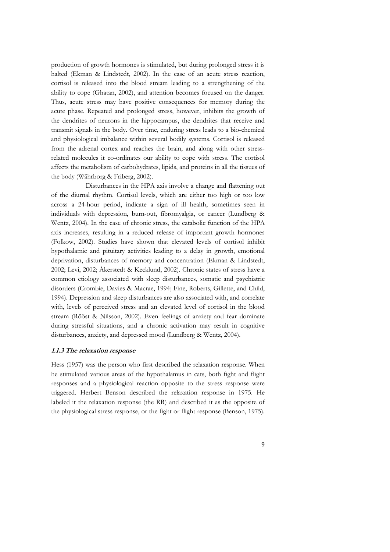production of growth hormones is stimulated, but during prolonged stress it is halted (Ekman & Lindstedt, 2002). In the case of an acute stress reaction, cortisol is released into the blood stream leading to a strengthening of the ability to cope (Ghatan, 2002), and attention becomes focused on the danger. Thus, acute stress may have positive consequences for memory during the acute phase. Repeated and prolonged stress, however, inhibits the growth of the dendrites of neurons in the hippocampus, the dendrites that receive and transmit signals in the body. Over time, enduring stress leads to a bio-chemical and physiological imbalance within several bodily systems. Cortisol is released from the adrenal cortex and reaches the brain, and along with other stressrelated molecules it co-ordinates our ability to cope with stress. The cortisol affects the metabolism of carbohydrates, lipids, and proteins in all the tissues of the body (Währborg & Friberg, 2002).

 Disturbances in the HPA axis involve a change and flattening out of the diurnal rhythm. Cortisol levels, which are either too high or too low across a 24-hour period, indicate a sign of ill health, sometimes seen in individuals with depression, burn-out, fibromyalgia, or cancer (Lundberg & Wentz, 2004). In the case of chronic stress, the catabolic function of the HPA axis increases, resulting in a reduced release of important growth hormones (Folkow, 2002). Studies have shown that elevated levels of cortisol inhibit hypothalamic and pituitary activities leading to a delay in growth, emotional deprivation, disturbances of memory and concentration (Ekman & Lindstedt, 2002; Levi, 2002; Åkerstedt & Kecklund, 2002). Chronic states of stress have a common etiology associated with sleep disturbances, somatic and psychiatric disorders (Crombie, Davies & Macrae, 1994; Fine, Roberts, Gillette, and Child, 1994). Depression and sleep disturbances are also associated with, and correlate with, levels of perceived stress and an elevated level of cortisol in the blood stream (Rööst & Nilsson, 2002). Even feelings of anxiety and fear dominate during stressful situations, and a chronic activation may result in cognitive disturbances, anxiety, and depressed mood (Lundberg & Wentz, 2004).

#### **1.1.3 The relaxation response**

Hess (1957) was the person who first described the relaxation response. When he stimulated various areas of the hypothalamus in cats, both fight and flight responses and a physiological reaction opposite to the stress response were triggered. Herbert Benson described the relaxation response in 1975. He labeled it the relaxation response (the RR) and described it as the opposite of the physiological stress response, or the fight or flight response (Benson, 1975).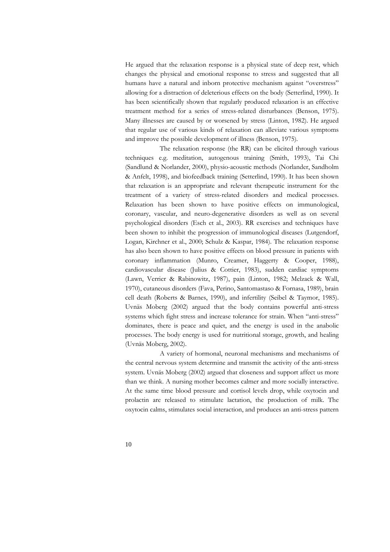He argued that the relaxation response is a physical state of deep rest, which changes the physical and emotional response to stress and suggested that all humans have a natural and inborn protective mechanism against "overstress" allowing for a distraction of deleterious effects on the body (Setterlind, 1990). It has been scientifically shown that regularly produced relaxation is an effective treatment method for a series of stress-related disturbances (Benson, 1975). Many illnesses are caused by or worsened by stress (Linton, 1982). He argued that regular use of various kinds of relaxation can alleviate various symptoms and improve the possible development of illness (Benson, 1975).

 The relaxation response (the RR) can be elicited through various techniques e.g. meditation, autogenous training (Smith, 1993), Tai Chi (Sandlund & Norlander, 2000), physio-acoustic methods (Norlander, Sandholm & Anfelt, 1998), and biofeedback training (Setterlind, 1990). It has been shown that relaxation is an appropriate and relevant therapeutic instrument for the treatment of a variety of stress-related disorders and medical processes. Relaxation has been shown to have positive effects on immunological, coronary, vascular, and neuro-degenerative disorders as well as on several psychological disorders (Esch et al., 2003). RR exercises and techniques have been shown to inhibit the progression of immunological diseases (Lutgendorf, Logan, Kirchner et al., 2000; Schulz & Kaspar, 1984). The relaxation response has also been shown to have positive effects on blood pressure in patients with coronary inflammation (Munro, Creamer, Haggerty & Cooper, 1988), cardiovascular disease (Julius & Cottier, 1983), sudden cardiac symptoms (Lawn, Verrier & Rabinowitz, 1987), pain (Linton, 1982; Melzack & Wall, 1970), cutaneous disorders (Fava, Perino, Santomastaso & Fornasa, 1989), brain cell death (Roberts & Barnes, 1990), and infertility (Seibel & Taymor, 1985). Uvnäs Moberg (2002) argued that the body contains powerful anti-stress systems which fight stress and increase tolerance for strain. When "anti-stress" dominates, there is peace and quiet, and the energy is used in the anabolic processes. The body energy is used for nutritional storage, growth, and healing (Uvnäs Moberg, 2002).

A variety of hormonal, neuronal mechanisms and mechanisms of the central nervous system determine and transmit the activity of the anti-stress system. Uvnäs Moberg (2002) argued that closeness and support affect us more than we think. A nursing mother becomes calmer and more socially interactive. At the same time blood pressure and cortisol levels drop, while oxytocin and prolactin are released to stimulate lactation, the production of milk. The oxytocin calms, stimulates social interaction, and produces an anti-stress pattern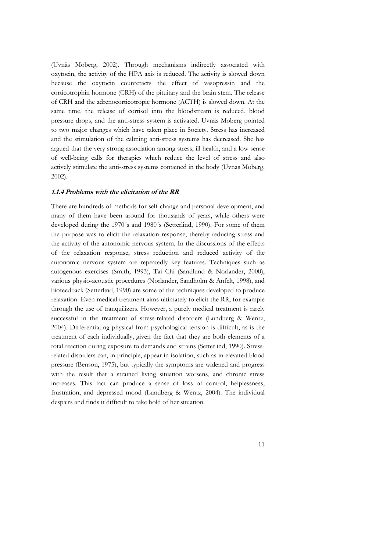(Uvnäs Moberg, 2002). Through mechanisms indirectly associated with oxytocin, the activity of the HPA axis is reduced. The activity is slowed down because the oxytocin counteracts the effect of vasopressin and the corticotrophin hormone (CRH) of the pituitary and the brain stem. The release of CRH and the adrenocorticotropic hormone (ACTH) is slowed down. At the same time, the release of cortisol into the bloodstream is reduced, blood pressure drops, and the anti-stress system is activated. Uvnäs Moberg pointed to two major changes which have taken place in Society. Stress has increased and the stimulation of the calming anti-stress systems has decreased. She has argued that the very strong association among stress, ill health, and a low sense of well-being calls for therapies which reduce the level of stress and also actively stimulate the anti-stress systems contained in the body (Uvnäs Moberg, 2002).

#### **1.1.4 Problems with the elicitation of the RR**

There are hundreds of methods for self-change and personal development, and many of them have been around for thousands of years, while others were developed during the 1970´s and 1980´s (Setterlind, 1990). For some of them the purpose was to elicit the relaxation response, thereby reducing stress and the activity of the autonomic nervous system. In the discussions of the effects of the relaxation response, stress reduction and reduced activity of the autonomic nervous system are repeatedly key features. Techniques such as autogenous exercises (Smith, 1993), Tai Chi (Sandlund & Norlander, 2000), various physio-acoustic procedures (Norlander, Sandholm & Anfelt, 1998), and biofeedback (Setterlind, 1990) are some of the techniques developed to produce relaxation. Even medical treatment aims ultimately to elicit the RR, for example through the use of tranquilizers. However, a purely medical treatment is rarely successful in the treatment of stress-related disorders (Lundberg & Wentz, 2004). Differentiating physical from psychological tension is difficult, as is the treatment of each individually, given the fact that they are both elements of a total reaction during exposure to demands and strains (Setterlind, 1990). Stressrelated disorders can, in principle, appear in isolation, such as in elevated blood pressure (Benson, 1975), but typically the symptoms are widened and progress with the result that a strained living situation worsens, and chronic stress increases. This fact can produce a sense of loss of control, helplessness, frustration, and depressed mood (Lundberg & Wentz, 2004). The individual despairs and finds it difficult to take hold of her situation.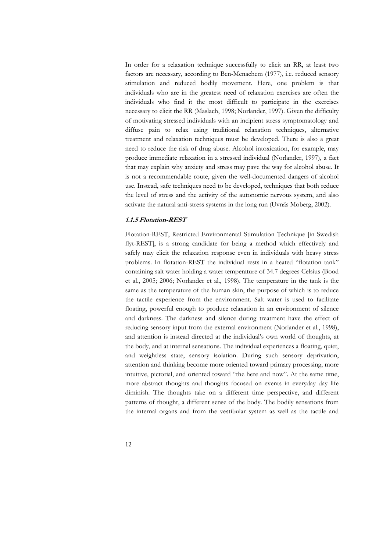In order for a relaxation technique successfully to elicit an RR, at least two factors are necessary, according to Ben-Menachem (1977), i.e. reduced sensory stimulation and reduced bodily movement. Here, one problem is that individuals who are in the greatest need of relaxation exercises are often the individuals who find it the most difficult to participate in the exercises necessary to elicit the RR (Maslach, 1998; Norlander, 1997). Given the difficulty of motivating stressed individuals with an incipient stress symptomatology and diffuse pain to relax using traditional relaxation techniques, alternative treatment and relaxation techniques must be developed. There is also a great need to reduce the risk of drug abuse. Alcohol intoxication, for example, may produce immediate relaxation in a stressed individual (Norlander, 1997), a fact that may explain why anxiety and stress may pave the way for alcohol abuse. It is not a recommendable route, given the well-documented dangers of alcohol use. Instead, safe techniques need to be developed, techniques that both reduce the level of stress and the activity of the autonomic nervous system, and also activate the natural anti-stress systems in the long run (Uvnäs Moberg, 2002).

#### **1.1.5 Flotation-REST**

Flotation-REST, Restricted Environmental Stimulation Technique [in Swedish flyt-REST], is a strong candidate for being a method which effectively and safely may elicit the relaxation response even in individuals with heavy stress problems. In flotation-REST the individual rests in a heated "flotation tank" containing salt water holding a water temperature of 34.7 degrees Celsius (Bood et al., 2005; 2006; Norlander et al., 1998). The temperature in the tank is the same as the temperature of the human skin, the purpose of which is to reduce the tactile experience from the environment. Salt water is used to facilitate floating, powerful enough to produce relaxation in an environment of silence and darkness. The darkness and silence during treatment have the effect of reducing sensory input from the external environment (Norlander et al., 1998), and attention is instead directed at the individual's own world of thoughts, at the body, and at internal sensations. The individual experiences a floating, quiet, and weightless state, sensory isolation. During such sensory deprivation, attention and thinking become more oriented toward primary processing, more intuitive, pictorial, and oriented toward "the here and now". At the same time, more abstract thoughts and thoughts focused on events in everyday day life diminish. The thoughts take on a different time perspective, and different patterns of thought, a different sense of the body. The bodily sensations from the internal organs and from the vestibular system as well as the tactile and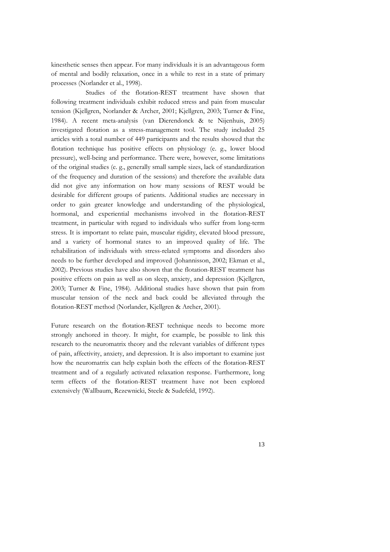kinesthetic senses then appear. For many individuals it is an advantageous form of mental and bodily relaxation, once in a while to rest in a state of primary processes (Norlander et al., 1998).

Studies of the flotation-REST treatment have shown that following treatment individuals exhibit reduced stress and pain from muscular tension (Kjellgren, Norlander & Archer, 2001; Kjellgren, 2003; Turner & Fine, 1984). A recent meta-analysis (van Dierendonck & te Nijenhuis, 2005) investigated flotation as a stress-management tool. The study included 25 articles with a total number of 449 participants and the results showed that the flotation technique has positive effects on physiology (e. g., lower blood pressure), well-being and performance. There were, however, some limitations of the original studies (e. g., generally small sample sizes, lack of standardization of the frequency and duration of the sessions) and therefore the available data did not give any information on how many sessions of REST would be desirable for different groups of patients. Additional studies are necessary in order to gain greater knowledge and understanding of the physiological, hormonal, and experiential mechanisms involved in the flotation-REST treatment, in particular with regard to individuals who suffer from long-term stress. It is important to relate pain, muscular rigidity, elevated blood pressure, and a variety of hormonal states to an improved quality of life. The rehabilitation of individuals with stress-related symptoms and disorders also needs to be further developed and improved (Johannisson, 2002; Ekman et al., 2002). Previous studies have also shown that the flotation-REST treatment has positive effects on pain as well as on sleep, anxiety, and depression (Kjellgren, 2003; Turner & Fine, 1984). Additional studies have shown that pain from muscular tension of the neck and back could be alleviated through the flotation-REST method (Norlander, Kjellgren & Archer, 2001).

Future research on the flotation-REST technique needs to become more strongly anchored in theory. It might, for example, be possible to link this research to the neuromatrix theory and the relevant variables of different types of pain, affectivity, anxiety, and depression. It is also important to examine just how the neuromatrix can help explain both the effects of the flotation-REST treatment and of a regularly activated relaxation response. Furthermore, long term effects of the flotation-REST treatment have not been explored extensively (Wallbaum, Rezewnicki, Steele & Sudefeld, 1992).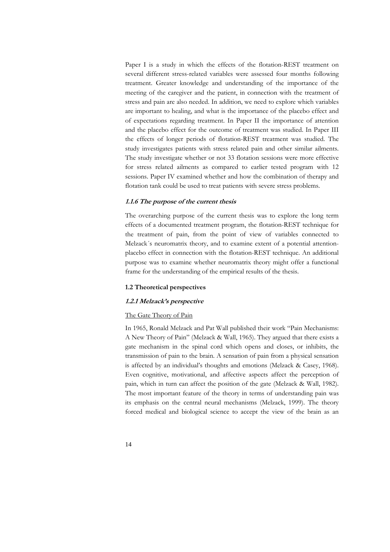Paper I is a study in which the effects of the flotation-REST treatment on several different stress-related variables were assessed four months following treatment. Greater knowledge and understanding of the importance of the meeting of the caregiver and the patient, in connection with the treatment of stress and pain are also needed. In addition, we need to explore which variables are important to healing, and what is the importance of the placebo effect and of expectations regarding treatment. In Paper II the importance of attention and the placebo effect for the outcome of treatment was studied. In Paper III the effects of longer periods of flotation-REST treatment was studied. The study investigates patients with stress related pain and other similar ailments. The study investigate whether or not 33 flotation sessions were more effective for stress related ailments as compared to earlier tested program with 12 sessions. Paper IV examined whether and how the combination of therapy and flotation tank could be used to treat patients with severe stress problems.

#### **1.1.6 The purpose of the current thesis**

The overarching purpose of the current thesis was to explore the long term effects of a documented treatment program, the flotation-REST technique for the treatment of pain, from the point of view of variables connected to Melzack´s neuromatrix theory, and to examine extent of a potential attentionplacebo effect in connection with the flotation-REST technique. An additional purpose was to examine whether neuromatrix theory might offer a functional frame for the understanding of the empirical results of the thesis.

#### **1.2 Theoretical perspectives**

#### **1.2.1 Melzack's perspective**

#### The Gate Theory of Pain

In 1965, Ronald Melzack and Pat Wall published their work "Pain Mechanisms: A New Theory of Pain" (Melzack & Wall, 1965). They argued that there exists a gate mechanism in the spinal cord which opens and closes, or inhibits, the transmission of pain to the brain. A sensation of pain from a physical sensation is affected by an individual's thoughts and emotions (Melzack & Casey, 1968). Even cognitive, motivational, and affective aspects affect the perception of pain, which in turn can affect the position of the gate (Melzack & Wall, 1982). The most important feature of the theory in terms of understanding pain was its emphasis on the central neural mechanisms (Melzack, 1999). The theory forced medical and biological science to accept the view of the brain as an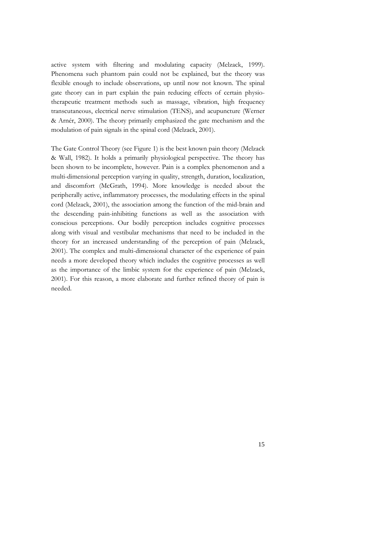active system with filtering and modulating capacity (Melzack, 1999). Phenomena such phantom pain could not be explained, but the theory was flexible enough to include observations, up until now not known. The spinal gate theory can in part explain the pain reducing effects of certain physiotherapeutic treatment methods such as massage, vibration, high frequency transcutaneous, electrical nerve stimulation (TENS), and acupuncture (Werner & Arnér, 2000). The theory primarily emphasized the gate mechanism and the modulation of pain signals in the spinal cord (Melzack, 2001).

The Gate Control Theory (see Figure 1) is the best known pain theory (Melzack & Wall, 1982). It holds a primarily physiological perspective. The theory has been shown to be incomplete, however. Pain is a complex phenomenon and a multi-dimensional perception varying in quality, strength, duration, localization, and discomfort (McGrath, 1994). More knowledge is needed about the peripherally active, inflammatory processes, the modulating effects in the spinal cord (Melzack, 2001), the association among the function of the mid-brain and the descending pain-inhibiting functions as well as the association with conscious perceptions. Our bodily perception includes cognitive processes along with visual and vestibular mechanisms that need to be included in the theory for an increased understanding of the perception of pain (Melzack, 2001). The complex and multi-dimensional character of the experience of pain needs a more developed theory which includes the cognitive processes as well as the importance of the limbic system for the experience of pain (Melzack, 2001). For this reason, a more elaborate and further refined theory of pain is needed.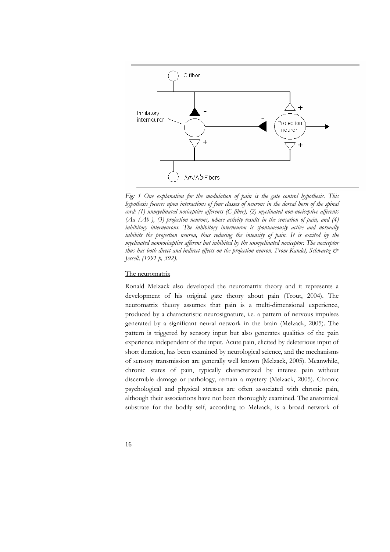

*Fig: 1 One explanation for the modulation of pain is the gate control hypothesis. This hypothesis focuses upon interactions of four classes of neurons in the dorsal horn of the spinal cord: (1) unmyelinated nociceptive afferents (C fiber), (2) myelinated non-nociceptive afferents (Aa /Ab ), (3) projection neurons, whose activity results in the sensation of pain, and (4) inhibitory interneurons. The inhibitory interneuron is spontaneously active and normally inhibits the projection neuron, thus reducing the intensity of pain. It is excited by the myelinated nonnociceptive afferent but inhibited by the unmyelinated nociceptor. The nociceptor thus has both direct and indirect effects on the projection neuron. From Kandel, Schwartz & Jessell, (1991 p, 392).* 

## The neuromatrix

Ronald Melzack also developed the neuromatrix theory and it represents a development of his original gate theory about pain (Trout, 2004). The neuromatrix theory assumes that pain is a multi-dimensional experience, produced by a characteristic neurosignature, i.e. a pattern of nervous impulses generated by a significant neural network in the brain (Melzack, 2005). The pattern is triggered by sensory input but also generates qualities of the pain experience independent of the input. Acute pain, elicited by deleterious input of short duration, has been examined by neurological science, and the mechanisms of sensory transmission are generally well known (Melzack, 2005). Meanwhile, chronic states of pain, typically characterized by intense pain without discernible damage or pathology, remain a mystery (Melzack, 2005). Chronic psychological and physical stresses are often associated with chronic pain, although their associations have not been thoroughly examined. The anatomical substrate for the bodily self, according to Melzack, is a broad network of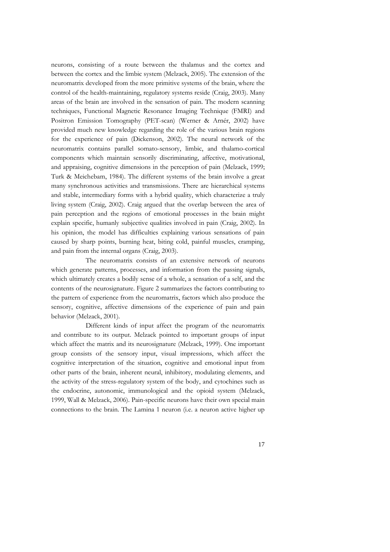neurons, consisting of a route between the thalamus and the cortex and between the cortex and the limbic system (Melzack, 2005). The extension of the neuromatrix developed from the more primitive systems of the brain, where the control of the health-maintaining, regulatory systems reside (Craig, 2003). Many areas of the brain are involved in the sensation of pain. The modern scanning techniques, Functional Magnetic Resonance Imaging Technique (FMRI) and Positron Emission Tomography (PET-scan) (Werner & Arnér, 2002) have provided much new knowledge regarding the role of the various brain regions for the experience of pain (Dickenson, 2002). The neural network of the neuromatrix contains parallel somato-sensory, limbic, and thalamo-cortical components which maintain sensorily discriminating, affective, motivational, and appraising, cognitive dimensions in the perception of pain (Melzack, 1999; Turk & Meichebam, 1984). The different systems of the brain involve a great many synchronous activities and transmissions. There are hierarchical systems and stable, intermediary forms with a hybrid quality, which characterize a truly living system (Craig, 2002). Craig argued that the overlap between the area of pain perception and the regions of emotional processes in the brain might explain specific, humanly subjective qualities involved in pain (Craig, 2002). In his opinion, the model has difficulties explaining various sensations of pain caused by sharp points, burning heat, biting cold, painful muscles, cramping, and pain from the internal organs (Craig, 2003).

 The neuromatrix consists of an extensive network of neurons which generate patterns, processes, and information from the passing signals, which ultimately creates a bodily sense of a whole, a sensation of a self, and the contents of the neurosignature. Figure 2 summarizes the factors contributing to the pattern of experience from the neuromatrix, factors which also produce the sensory, cognitive, affective dimensions of the experience of pain and pain behavior (Melzack, 2001).

 Different kinds of input affect the program of the neuromatrix and contribute to its output. Melzack pointed to important groups of input which affect the matrix and its neurosignature (Melzack, 1999). One important group consists of the sensory input, visual impressions, which affect the cognitive interpretation of the situation, cognitive and emotional input from other parts of the brain, inherent neural, inhibitory, modulating elements, and the activity of the stress-regulatory system of the body, and cytochines such as the endocrine, autonomic, immunological and the opioid system (Melzack, 1999, Wall & Melzack, 2006). Pain-specific neurons have their own special main connections to the brain. The Lamina 1 neuron (i.e. a neuron active higher up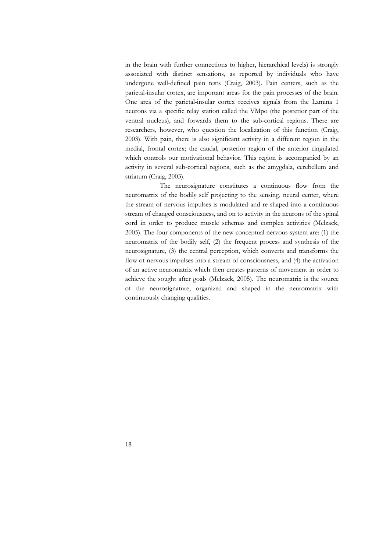in the brain with further connections to higher, hierarchical levels) is strongly associated with distinct sensations, as reported by individuals who have undergone well-defined pain tests (Craig, 2003). Pain centers, such as the parietal-insular cortex, are important areas for the pain processes of the brain. One area of the parietal-insular cortex receives signals from the Lamina 1 neurons via a specific relay station called the VMpo (the posterior part of the ventral nucleus), and forwards them to the sub-cortical regions. There are researchers, however, who question the localization of this function (Craig, 2003). With pain, there is also significant activity in a different region in the medial, frontal cortex; the caudal, posterior region of the anterior cingulated which controls our motivational behavior. This region is accompanied by an activity in several sub-cortical regions, such as the amygdala, cerebellum and striatum (Craig, 2003).

The neurosignature constitutes a continuous flow from the neuromatrix of the bodily self projecting to the sensing, neural center, where the stream of nervous impulses is modulated and re-shaped into a continuous stream of changed consciousness, and on to activity in the neurons of the spinal cord in order to produce muscle schemas and complex activities (Melzack, 2005). The four components of the new conceptual nervous system are: (1) the neuromatrix of the bodily self, (2) the frequent process and synthesis of the neurosignature, (3) the central perception, which converts and transforms the flow of nervous impulses into a stream of consciousness, and (4) the activation of an active neuromatrix which then creates patterns of movement in order to achieve the sought after goals (Melzack, 2005). The neuromatrix is the source of the neurosignature, organized and shaped in the neuromatrix with continuously changing qualities.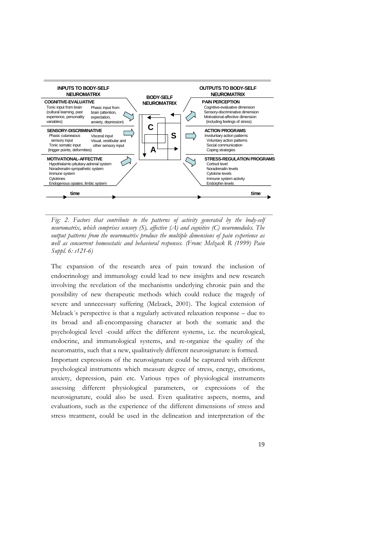

Fig: 2. Factors that contribute to the patterns of activity generated by the body-self *neuromatrix, which comprises sensory (S), affective (A) and cognitive (C) neuromodules. The output patterns from the neuromatrix produce the multiple dimensions of pain experience as well as concurrent homeostatic and behavioral responses. (From: Melzack R (1999) Pain Suppl. 6: s121-6)* 

The expansion of the research area of pain toward the inclusion of endocrinology and immunology could lead to new insights and new research involving the revelation of the mechanisms underlying chronic pain and the possibility of new therapeutic methods which could reduce the tragedy of severe and unnecessary suffering (Melzack, 2001). The logical extension of Melzack´s perspective is that a regularly activated relaxation response – due to its broad and all-encompassing character at both the somatic and the psychological level -could affect the different systems, i.e. the neurological, endocrine, and immunological systems, and re-organize the quality of the neuromatrix, such that a new, qualitatively different neurosignature is formed.

Important expressions of the neurosignature could be captured with different psychological instruments which measure degree of stress, energy, emotions, anxiety, depression, pain etc. Various types of physiological instruments assessing different physiological parameters, or expressions of the neurosignature, could also be used. Even qualitative aspects, norms, and evaluations, such as the experience of the different dimensions of stress and stress treatment, could be used in the delineation and interpretation of the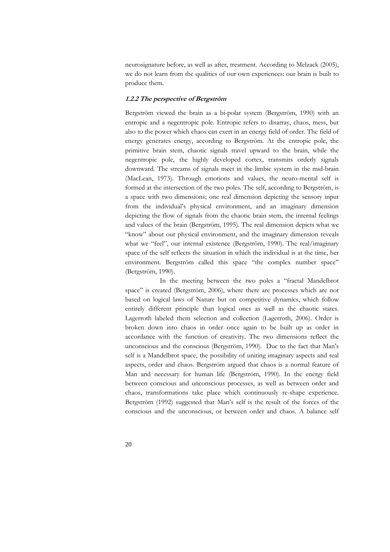neurosignature before, as well as after, treatment. According to Melzack (2005), we do not learn from the qualities of our own experiences: our brain is built to produce them.

#### **1.2.2 The perspective of Bergström**

Bergström viewed the brain as a bi-polar system (Bergström, 1990) with an entropic and a negentropic pole. Entropic refers to disarray, chaos, mess, but also to the power which chaos can exert in an energy field of order. The field of energy generates energy, according to Bergström. At the entropic pole, the primitive brain stem, chaotic signals travel upward to the brain, while the negentropic pole, the highly developed cortex, transmits orderly signals downward. The streams of signals meet in the limbic system in the mid-brain (MacLean, 1973). Through emotions and values, the neuro-mental self is formed at the intersection of the two poles. The self, according to Bergström, is a space with two dimensions; one real dimension depicting the sensory input from the individual's physical environment, and an imaginary dimension depicting the flow of signals from the chaotic brain stem, the internal feelings and values of the brain (Bergström, 1995). The real dimension depicts what we "know" about our physical environment, and the imaginary dimension reveals what we "feel", our internal existence (Bergström, 1990). The real/imaginary space of the self reflects the situation in which the individual is at the time, her environment. Bergström called this space "the complex number space" (Bergström, 1990).

In the meeting between the two poles a "fractal Mandelbrot space" is created (Bergström, 2006), where there are processes which are not based on logical laws of Nature but on competitive dynamics, which follow entirely different principle than logical ones as well as the chaotic states. Lagerroth labeled them selection and collection (Lagerroth, 2006). Order is broken down into chaos in order once again to be built up as order in accordance with the function of creativity. The two dimensions reflect the unconscious and the conscious (Bergström, 1990). Due to the fact that Man's self is a Mandelbrot space, the possibility of uniting imaginary aspects and real aspects, order and chaos. Bergström argued that chaos is a normal feature of Man and necessary for human life (Bergström, 1990). In the energy field between conscious and unconscious processes, as well as between order and chaos, transformations take place which continuously re-shape experience. Bergström (1992) suggested that Man's self is the result of the forces of the conscious and the unconscious, or between order and chaos. A balance self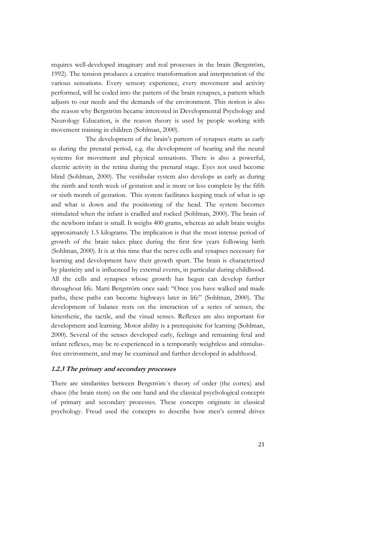requires well-developed imaginary and real processes in the brain (Bergström, 1992). The tension produces a creative transformation and interpretation of the various sensations. Every sensory experience, every movement and activity performed, will be coded into the pattern of the brain synapses, a pattern which adjusts to our needs and the demands of the environment. This notion is also the reason why Bergström became interested in Developmental Psychology and Neurology Education, is the reason theory is used by people working with movement training in children (Sohlman, 2000).

The development of the brain's pattern of synapses starts as early as during the prenatal period, e.g. the development of hearing and the neural systems for movement and physical sensations. There is also a powerful, electric activity in the retina during the prenatal stage. Eyes not used become blind (Sohlman, 2000). The vestibular system also develops as early as during the ninth and tenth week of gestation and is more or less complete by the fifth or sixth month of gestation. This system facilitates keeping track of what is up and what is down and the positioning of the head. The system becomes stimulated when the infant is cradled and rocked (Sohlman, 2000). The brain of the newborn infant is small. It weighs 400 grams, whereas an adult brain weighs approximately 1.5 kilograms. The implication is that the most intense period of growth of the brain takes place during the first few years following birth (Sohlman, 2000). It is at this time that the nerve cells and synapses necessary for learning and development have their growth spurt. The brain is characterized by plasticity and is influenced by external events, in particular during childhood. All the cells and synapses whose growth has begun can develop further throughout life. Matti Bergström once said: "Once you have walked and made paths, these paths can become highways later in life" (Sohlman, 2000). The development of balance rests on the interaction of a series of senses; the kinesthetic, the tactile, and the visual senses. Reflexes are also important for development and learning. Motor ability is a prerequisite for learning (Sohlman, 2000). Several of the senses developed early, feelings and remaining fetal and infant reflexes, may be re-experienced in a temporarily weightless and stimulusfree environment, and may be examined and further developed in adulthood.

#### **1.2.3 The primary and secondary processes**

There are similarities between Bergström´s theory of order (the cortex) and chaos (the brain stem) on the one hand and the classical psychological concepts of primary and secondary processes. These concepts originate in classical psychology. Freud used the concepts to describe how men's central drives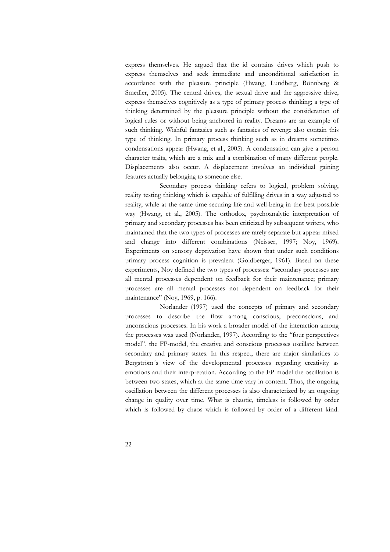express themselves. He argued that the id contains drives which push to express themselves and seek immediate and unconditional satisfaction in accordance with the pleasure principle (Hwang, Lundberg, Rönnberg & Smedler, 2005). The central drives, the sexual drive and the aggressive drive, express themselves cognitively as a type of primary process thinking; a type of thinking determined by the pleasure principle without the consideration of logical rules or without being anchored in reality. Dreams are an example of such thinking. Wishful fantasies such as fantasies of revenge also contain this type of thinking. In primary process thinking such as in dreams sometimes condensations appear (Hwang, et al., 2005). A condensation can give a person character traits, which are a mix and a combination of many different people. Displacements also occur. A displacement involves an individual gaining features actually belonging to someone else.

Secondary process thinking refers to logical, problem solving, reality testing thinking which is capable of fulfilling drives in a way adjusted to reality, while at the same time securing life and well-being in the best possible way (Hwang, et al., 2005). The orthodox, psychoanalytic interpretation of primary and secondary processes has been criticized by subsequent writers, who maintained that the two types of processes are rarely separate but appear mixed and change into different combinations (Neisser, 1997; Noy, 1969). Experiments on sensory deprivation have shown that under such conditions primary process cognition is prevalent (Goldberger, 1961). Based on these experiments, Noy defined the two types of processes: "secondary processes are all mental processes dependent on feedback for their maintenance; primary processes are all mental processes not dependent on feedback for their maintenance" (Noy, 1969, p. 166).

Norlander (1997) used the concepts of primary and secondary processes to describe the flow among conscious, preconscious, and unconscious processes. In his work a broader model of the interaction among the processes was used (Norlander, 1997). According to the "four perspectives model", the FP-model, the creative and conscious processes oscillate between secondary and primary states. In this respect, there are major similarities to Bergström´s view of the developmental processes regarding creativity as emotions and their interpretation. According to the FP-model the oscillation is between two states, which at the same time vary in content. Thus, the ongoing oscillation between the different processes is also characterized by an ongoing change in quality over time. What is chaotic, timeless is followed by order which is followed by chaos which is followed by order of a different kind.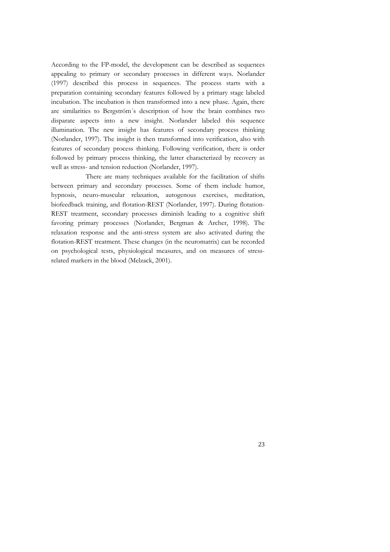According to the FP-model, the development can be described as sequences appealing to primary or secondary processes in different ways. Norlander (1997) described this process in sequences. The process starts with a preparation containing secondary features followed by a primary stage labeled incubation. The incubation is then transformed into a new phase. Again, there are similarities to Bergström´s description of how the brain combines two disparate aspects into a new insight. Norlander labeled this sequence illumination. The new insight has features of secondary process thinking (Norlander, 1997). The insight is then transformed into verification, also with features of secondary process thinking. Following verification, there is order followed by primary process thinking, the latter characterized by recovery as well as stress- and tension reduction (Norlander, 1997).

There are many techniques available for the facilitation of shifts between primary and secondary processes. Some of them include humor, hypnosis, neuro-muscular relaxation, autogenous exercises, meditation, biofeedback training, and flotation-REST (Norlander, 1997). During flotation-REST treatment, secondary processes diminish leading to a cognitive shift favoring primary processes (Norlander, Bergman & Archer, 1998). The relaxation response and the anti-stress system are also activated during the flotation-REST treatment. These changes (in the neuromatrix) can be recorded on psychological tests, physiological measures, and on measures of stressrelated markers in the blood (Melzack, 2001).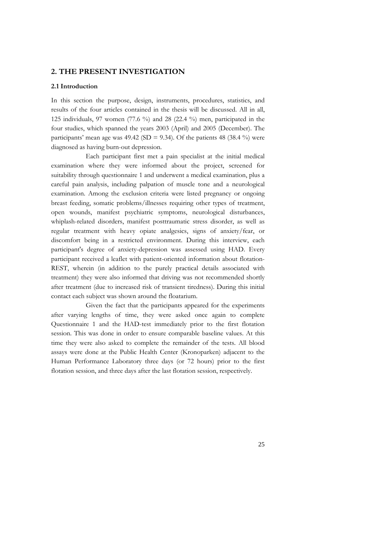# **2. THE PRESENT INVESTIGATION**

#### **2.1 Introduction**

In this section the purpose, design, instruments, procedures, statistics, and results of the four articles contained in the thesis will be discussed. All in all, 125 individuals, 97 women (77.6 %) and 28 (22.4 %) men, participated in the four studies, which spanned the years 2003 (April) and 2005 (December). The participants' mean age was 49.42 (SD = 9.34). Of the patients 48 (38.4 %) were diagnosed as having burn-out depression.

Each participant first met a pain specialist at the initial medical examination where they were informed about the project, screened for suitability through questionnaire 1 and underwent a medical examination, plus a careful pain analysis, including palpation of muscle tone and a neurological examination. Among the exclusion criteria were listed pregnancy or ongoing breast feeding, somatic problems/illnesses requiring other types of treatment, open wounds, manifest psychiatric symptoms, neurological disturbances, whiplash-related disorders, manifest posttraumatic stress disorder, as well as regular treatment with heavy opiate analgesics, signs of anxiety/fear, or discomfort being in a restricted environment. During this interview, each participant's degree of anxiety-depression was assessed using HAD. Every participant received a leaflet with patient-oriented information about flotation-REST, wherein (in addition to the purely practical details associated with treatment) they were also informed that driving was not recommended shortly after treatment (due to increased risk of transient tiredness). During this initial contact each subject was shown around the floatarium.

Given the fact that the participants appeared for the experiments after varying lengths of time, they were asked once again to complete Questionnaire 1 and the HAD-test immediately prior to the first flotation session. This was done in order to ensure comparable baseline values. At this time they were also asked to complete the remainder of the tests. All blood assays were done at the Public Health Center (Kronoparken) adjacent to the Human Performance Laboratory three days (or 72 hours) prior to the first flotation session, and three days after the last flotation session, respectively.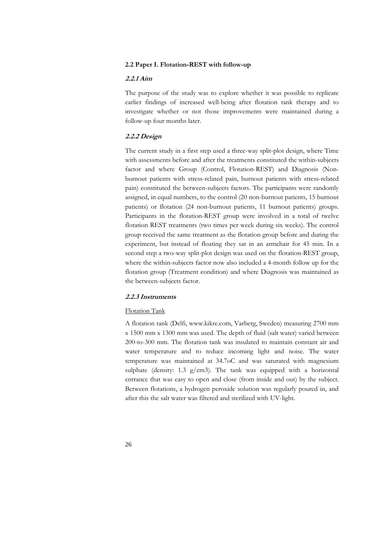# **2.2 Paper I. Flotation-REST with follow-up**

# **2.2.1 Aim**

The purpose of the study was to explore whether it was possible to replicate earlier findings of increased well-being after flotation tank therapy and to investigate whether or not those improvements were maintained during a follow-up four months later.

# **2.2.2 Design**

The current study in a first step used a three-way split-plot design, where Time with assessments before and after the treatments constituted the within-subjects factor and where Group (Control, Flotation-REST) and Diagnosis (Nonburnout patients with stress-related pain, burnout patients with stress-related pain) constituted the between-subjects factors. The participants were randomly assigned, in equal numbers, to the control (20 non-burnout patients, 15 burnout patients) or flotation (24 non-burnout patients, 11 burnout patients) groups. Participants in the flotation-REST group were involved in a total of twelve flotation REST treatments (two times per week during six weeks). The control group received the same treatment as the flotation group before and during the experiment, but instead of floating they sat in an armchair for 45 min. In a second step a two-way split-plot design was used on the flotation-REST group, where the within-subjects factor now also included a 4-month follow up for the flotation group (Treatment condition) and where Diagnosis was maintained as the between-subjects factor.

## **2.2.3 Instruments**

# Flotation Tank

A flotation tank (Delfi, www.kikre.com, Varberg, Sweden) measuring 2700 mm x 1500 mm x 1300 mm was used. The depth of fluid (salt water) varied between 200-to-300 mm. The flotation tank was insulated to maintain constant air and water temperature and to reduce incoming light and noise. The water temperature was maintained at 34.7oC and was saturated with magnesium sulphate (density: 1.3  $g/cm3$ ). The tank was equipped with a horizontal entrance that was easy to open and close (from inside and out) by the subject. Between flotations, a hydrogen peroxide solution was regularly poured in, and after this the salt water was filtered and sterilized with UV-light.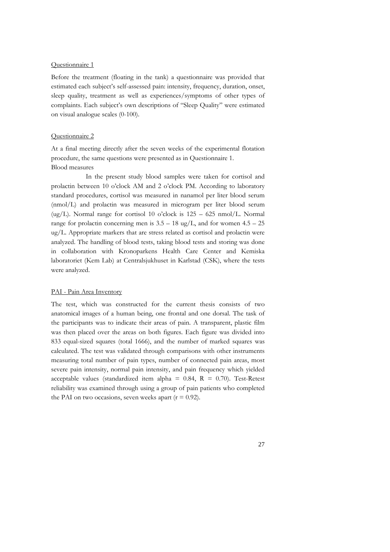#### Questionnaire 1

Before the treatment (floating in the tank) a questionnaire was provided that estimated each subject's self-assessed pain: intensity, frequency, duration, onset, sleep quality, treatment as well as experiences/symptoms of other types of complaints. Each subject's own descriptions of "Sleep Quality" were estimated on visual analogue scales (0-100).

#### Questionnaire 2

At a final meeting directly after the seven weeks of the experimental flotation procedure, the same questions were presented as in Questionnaire 1. Blood measures

 In the present study blood samples were taken for cortisol and prolactin between 10 o'clock AM and 2 o'clock PM. According to laboratory standard procedures, cortisol was measured in nanamol per liter blood serum (nmol/L) and prolactin was measured in microgram per liter blood serum (ug/L). Normal range for cortisol 10 o'clock is  $125 - 625$  nmol/L. Normal range for prolactin concerning men is  $3.5 - 18$  ug/L, and for women  $4.5 - 25$ ug/L. Appropriate markers that are stress related as cortisol and prolactin were analyzed. The handling of blood tests, taking blood tests and storing was done in collaboration with Kronoparkens Health Care Center and Kemiska laboratoriet (Kem Lab) at Centralsjukhuset in Karlstad (CSK), where the tests were analyzed.

## PAI - Pain Area Inventory

The test, which was constructed for the current thesis consists of two anatomical images of a human being, one frontal and one dorsal. The task of the participants was to indicate their areas of pain. A transparent, plastic film was then placed over the areas on both figures. Each figure was divided into 833 equal-sized squares (total 1666), and the number of marked squares was calculated. The test was validated through comparisons with other instruments measuring total number of pain types, number of connected pain areas, most severe pain intensity, normal pain intensity, and pain frequency which yielded acceptable values (standardized item alpha =  $0.84$ , R =  $0.70$ ). Test-Retest reliability was examined through using a group of pain patients who completed the PAI on two occasions, seven weeks apart  $(r = 0.92)$ .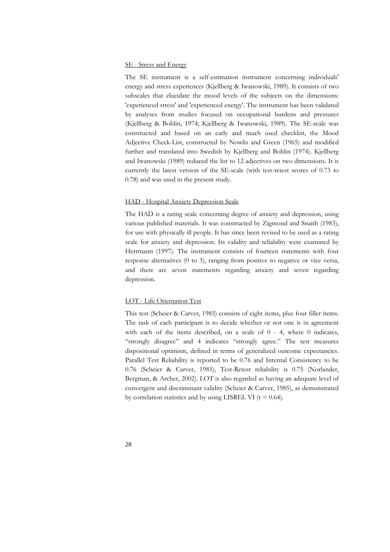### SE - Stress and Energy

The SE instrument is a self-estimation instrument concerning individuals' energy and stress experiences (Kjellberg & Iwanowski, 1989). It consists of two subscales that elucidate the mood levels of the subjects on the dimensions: 'experienced stress' and 'experienced energy'. The instrument has been validated by analyses from studies focused on occupational burdens and pressures (Kjellberg & Bohlin, 1974; Kjellberg & Iwanowski, 1989). The SE-scale was constructed and based on an early and much used checklist, the Mood Adjective Check-List, constructed by Nowlis and Green (1965) and modified further and translated into Swedish by Kjellberg and Bohlin (1974). Kjellberg and Iwanowski (1989) reduced the list to 12 adjectives on two dimensions. It is currently the latest version of the SE-scale (with test-retest scores of 0.73 to 0.78) and was used in the present study.

## HAD - Hospital Anxiety Depression Scale

The HAD is a rating scale concerning degree of anxiety and depression, using various published materials. It was constructed by Zigmond and Snaith (1983), for use with physically ill people. It has since been revised to be used as a rating scale for anxiety and depression. Its validity and reliability were examined by Herrmann (1997). The instrument consists of fourteen statements with four response alternatives (0 to 3), ranging from positive to negative or vice versa, and there are seven statements regarding anxiety and seven regarding depression.

## LOT - Life Orientation Test

This test (Scheier & Carver, 1985) consists of eight items, plus four filler items. The task of each participant is to decide whether or not one is in agreement with each of the items described, on a scale of  $0 - 4$ , where  $0$  indicates, "strongly disagree" and 4 indicates "strongly agree." The test measures dispositional optimism, defined in terms of generalized outcome expectancies. Parallel Test Reliability is reported to be 0.76 and Internal Consistency to be 0.76 (Scheier & Carver, 1985), Test-Retest reliability is 0.75 (Norlander, Bergman, & Archer, 2002). LOT is also regarded as having an adequate level of convergent and discriminant validity (Scheier & Carver, 1985), as demonstrated by correlation statistics and by using LISREL VI  $(r = 0.64)$ .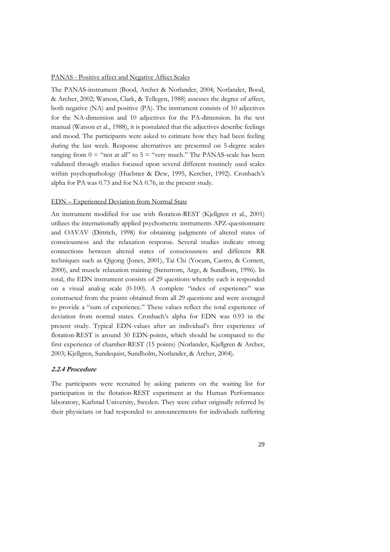#### PANAS - Positive affect and Negative Affect Scales

The PANAS-instrument (Bood, Archer & Norlander, 2004; Norlander, Bood, & Archer, 2002; Watson, Clark, & Tellegen, 1988) assesses the degree of affect, both negative (NA) and positive (PA). The instrument consists of 10 adjectives for the NA-dimension and 10 adjectives for the PA-dimension. In the test manual (Watson et al., 1988), it is postulated that the adjectives describe feelings and mood. The participants were asked to estimate how they had been feeling during the last week. Response alternatives are presented on 5-degree scales ranging from  $0 =$  "not at all" to  $5 =$  "very much." The PANAS-scale has been validated through studies focused upon several different routinely used scales within psychopathology (Huebner & Dew, 1995, Kercher, 1992). Cronbach's alpha for PA was 0.73 and for NA 0.76, in the present study.

### EDN – Experienced Deviation from Normal State

An instrument modified for use with flotation-REST (Kjellgren et al., 2001) utilizes the internationally applied psychometric instruments APZ-questionnaire and OAVAV (Dittrich, 1998) for obtaining judgments of altered states of consciousness and the relaxation response. Several studies indicate strong connections between altered states of consciousness and different RR techniques such as Qigong (Jones, 2001), Tai Chi (Yocum, Castro, & Cornett, 2000), and muscle relaxation training (Stenstrom, Arge, & Sundbom, 1996). In total, the EDN instrument consists of 29 questions whereby each is responded on a visual analog scale (0-100). A complete "index of experience" was constructed from the points obtained from all 29 questions and were averaged to provide a "sum of experience." These values reflect the total experience of deviation from normal states. Cronbach's alpha for EDN was 0.93 in the present study. Typical EDN-values after an individual's first experience of flotation-REST is around 30 EDN-points, which should be compared to the first experience of chamber-REST (15 points) (Norlander, Kjellgren & Archer, 2003; Kjellgren, Sundequist, Sundholm, Norlander, & Archer, 2004).

## **2.2.4 Procedure**

The participants were recruited by asking patients on the waiting list for participation in the flotation-REST experiment at the Human Performance laboratory, Karlstad University, Sweden. They were either originally referred by their physicians or had responded to announcements for individuals suffering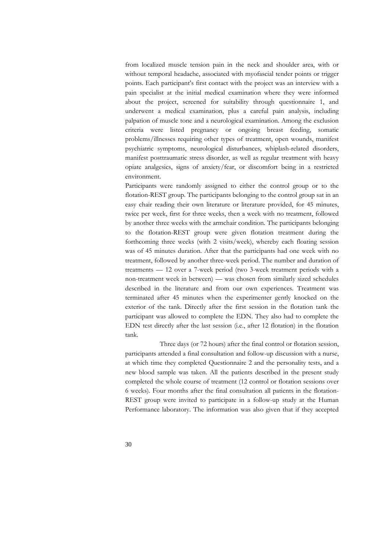from localized muscle tension pain in the neck and shoulder area, with or without temporal headache, associated with myofascial tender points or trigger points. Each participant's first contact with the project was an interview with a pain specialist at the initial medical examination where they were informed about the project, screened for suitability through questionnaire 1, and underwent a medical examination, plus a careful pain analysis, including palpation of muscle tone and a neurological examination. Among the exclusion criteria were listed pregnancy or ongoing breast feeding, somatic problems/illnesses requiring other types of treatment, open wounds, manifest psychiatric symptoms, neurological disturbances, whiplash-related disorders, manifest posttraumatic stress disorder, as well as regular treatment with heavy opiate analgesics, signs of anxiety/fear, or discomfort being in a restricted environment.

Participants were randomly assigned to either the control group or to the flotation-REST group. The participants belonging to the control group sat in an easy chair reading their own literature or literature provided, for 45 minutes, twice per week, first for three weeks, then a week with no treatment, followed by another three weeks with the armchair condition. The participants belonging to the flotation-REST group were given flotation treatment during the forthcoming three weeks (with 2 visits/week), whereby each floating session was of 45 minutes duration. After that the participants had one week with no treatment, followed by another three-week period. The number and duration of treatments — 12 over a 7-week period (two 3-week treatment periods with a non-treatment week in between) — was chosen from similarly sized schedules described in the literature and from our own experiences. Treatment was terminated after 45 minutes when the experimenter gently knocked on the exterior of the tank. Directly after the first session in the flotation tank the participant was allowed to complete the EDN. They also had to complete the EDN test directly after the last session (i.e., after 12 flotation) in the flotation tank.

 Three days (or 72 hours) after the final control or flotation session, participants attended a final consultation and follow-up discussion with a nurse, at which time they completed Questionnaire 2 and the personality tests, and a new blood sample was taken. All the patients described in the present study completed the whole course of treatment (12 control or flotation sessions over 6 weeks). Four months after the final consultation all patients in the flotation-REST group were invited to participate in a follow-up study at the Human Performance laboratory. The information was also given that if they accepted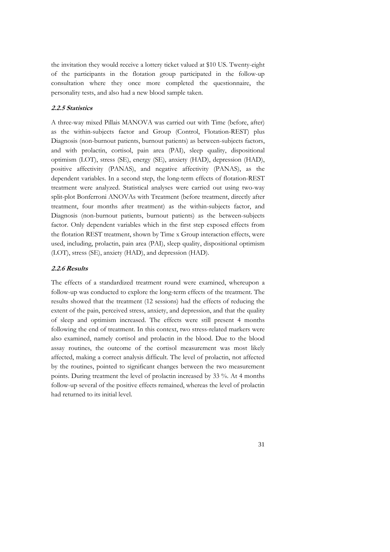the invitation they would receive a lottery ticket valued at \$10 US. Twenty-eight of the participants in the flotation group participated in the follow-up consultation where they once more completed the questionnaire, the personality tests, and also had a new blood sample taken.

## **2.2.5 Statistics**

A three-way mixed Pillais MANOVA was carried out with Time (before, after) as the within-subjects factor and Group (Control, Flotation-REST) plus Diagnosis (non-burnout patients, burnout patients) as between-subjects factors, and with prolactin, cortisol, pain area (PAI), sleep quality, dispositional optimism (LOT), stress (SE), energy (SE), anxiety (HAD), depression (HAD), positive affectivity (PANAS), and negative affectivity (PANAS), as the dependent variables. In a second step, the long-term effects of flotation-REST treatment were analyzed. Statistical analyses were carried out using two-way split-plot Bonferroni ANOVAs with Treatment (before treatment, directly after treatment, four months after treatment) as the within-subjects factor, and Diagnosis (non-burnout patients, burnout patients) as the between-subjects factor. Only dependent variables which in the first step exposed effects from the flotation REST treatment, shown by Time x Group interaction effects, were used, including, prolactin, pain area (PAI), sleep quality, dispositional optimism (LOT), stress (SE), anxiety (HAD), and depression (HAD).

## **2.2.6 Results**

The effects of a standardized treatment round were examined, whereupon a follow-up was conducted to explore the long-term effects of the treatment. The results showed that the treatment (12 sessions) had the effects of reducing the extent of the pain, perceived stress, anxiety, and depression, and that the quality of sleep and optimism increased. The effects were still present 4 months following the end of treatment. In this context, two stress-related markers were also examined, namely cortisol and prolactin in the blood. Due to the blood assay routines, the outcome of the cortisol measurement was most likely affected, making a correct analysis difficult. The level of prolactin, not affected by the routines, pointed to significant changes between the two measurement points. During treatment the level of prolactin increased by 33 %. At 4 months follow-up several of the positive effects remained, whereas the level of prolactin had returned to its initial level.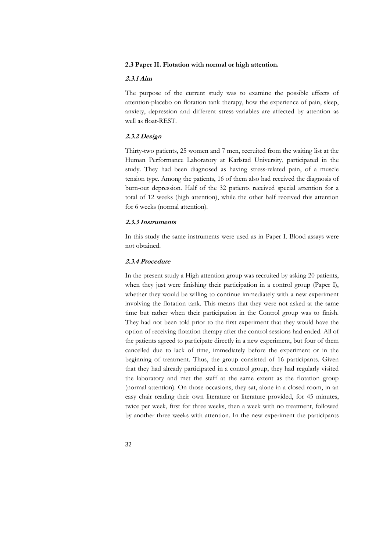## **2.3 Paper II. Flotation with normal or high attention.**

## **2.3.1 Aim**

The purpose of the current study was to examine the possible effects of attention-placebo on flotation tank therapy, how the experience of pain, sleep, anxiety, depression and different stress-variables are affected by attention as well as float-REST.

# **2.3.2 Design**

Thirty-two patients, 25 women and 7 men, recruited from the waiting list at the Human Performance Laboratory at Karlstad University, participated in the study. They had been diagnosed as having stress-related pain, of a muscle tension type. Among the patients, 16 of them also had received the diagnosis of burn-out depression. Half of the 32 patients received special attention for a total of 12 weeks (high attention), while the other half received this attention for 6 weeks (normal attention).

## **2.3.3 Instruments**

In this study the same instruments were used as in Paper I. Blood assays were not obtained.

## **2.3.4 Procedure**

In the present study a High attention group was recruited by asking 20 patients, when they just were finishing their participation in a control group (Paper I), whether they would be willing to continue immediately with a new experiment involving the flotation tank. This means that they were not asked at the same time but rather when their participation in the Control group was to finish. They had not been told prior to the first experiment that they would have the option of receiving flotation therapy after the control sessions had ended. All of the patients agreed to participate directly in a new experiment, but four of them cancelled due to lack of time, immediately before the experiment or in the beginning of treatment. Thus, the group consisted of 16 participants. Given that they had already participated in a control group, they had regularly visited the laboratory and met the staff at the same extent as the flotation group (normal attention). On those occasions, they sat, alone in a closed room, in an easy chair reading their own literature or literature provided, for 45 minutes, twice per week, first for three weeks, then a week with no treatment, followed by another three weeks with attention. In the new experiment the participants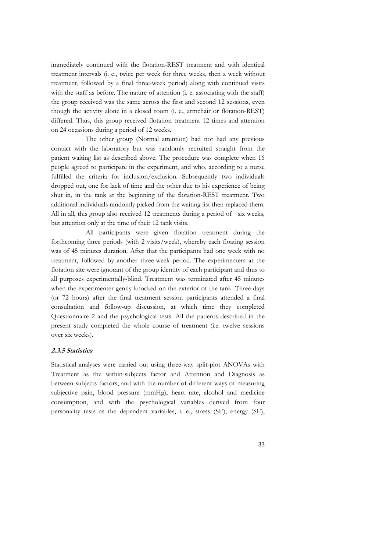immediately continued with the flotation-REST treatment and with identical treatment intervals (i. e., twice per week for three weeks, then a week without treatment, followed by a final three-week period) along with continued visits with the staff as before. The nature of attention (i. e. associating with the staff) the group received was the same across the first and second 12 sessions, even though the activity alone in a closed room (i. e., armchair or flotation-REST) differed. Thus, this group received flotation treatment 12 times and attention on 24 occasions during a period of 12 weeks.

The other group (Normal attention) had not had any previous contact with the laboratory but was randomly recruited straight from the patient waiting list as described above. The procedure was complete when 16 people agreed to participate in the experiment, and who, according to a nurse fulfilled the criteria for inclusion/exclusion. Subsequently two individuals dropped out, one for lack of time and the other due to his experience of being shut in, in the tank at the beginning of the flotation-REST treatment. Two additional individuals randomly picked from the waiting list then replaced them. All in all, this group also received 12 treatments during a period of six weeks, but attention only at the time of their 12 tank visits.

All participants were given flotation treatment during the forthcoming three periods (with 2 visits/week), whereby each floating session was of 45 minutes duration. After that the participants had one week with no treatment, followed by another three-week period. The experimenters at the flotation site were ignorant of the group identity of each participant and thus to all purposes experimentally-blind. Treatment was terminated after 45 minutes when the experimenter gently knocked on the exterior of the tank. Three days (or 72 hours) after the final treatment session participants attended a final consultation and follow-up discussion, at which time they completed Questionnaire 2 and the psychological tests. All the patients described in the present study completed the whole course of treatment (i.e. twelve sessions over six weeks).

## **2.3.5 Statistics**

Statistical analyses were carried out using three-way split-plot ANOVAs with Treatment as the within-subjects factor and Attention and Diagnosis as between-subjects factors, and with the number of different ways of measuring subjective pain, blood pressure (mmHg), heart rate, alcohol and medicine consumption, and with the psychological variables derived from four personality tests as the dependent variables, i. e., stress (SE), energy (SE),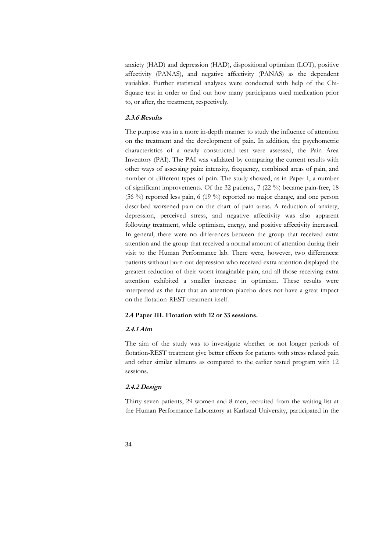anxiety (HAD) and depression (HAD), dispositional optimism (LOT), positive affectivity (PANAS), and negative affectivity (PANAS) as the dependent variables. Further statistical analyses were conducted with help of the Chi-Square test in order to find out how many participants used medication prior to, or after, the treatment, respectively.

#### **2.3.6 Results**

The purpose was in a more in-depth manner to study the influence of attention on the treatment and the development of pain. In addition, the psychometric characteristics of a newly constructed test were assessed, the Pain Area Inventory (PAI). The PAI was validated by comparing the current results with other ways of assessing pain: intensity, frequency, combined areas of pain, and number of different types of pain. The study showed, as in Paper I, a number of significant improvements. Of the 32 patients, 7 (22 %) became pain-free, 18 (56 %) reported less pain, 6 (19 %) reported no major change, and one person described worsened pain on the chart of pain areas. A reduction of anxiety, depression, perceived stress, and negative affectivity was also apparent following treatment, while optimism, energy, and positive affectivity increased. In general, there were no differences between the group that received extra attention and the group that received a normal amount of attention during their visit to the Human Performance lab. There were, however, two differences: patients without burn-out depression who received extra attention displayed the greatest reduction of their worst imaginable pain, and all those receiving extra attention exhibited a smaller increase in optimism. These results were interpreted as the fact that an attention-placebo does not have a great impact on the flotation-REST treatment itself.

#### **2.4 Paper III. Flotation with 12 or 33 sessions.**

#### **2.4.1 Aim**

The aim of the study was to investigate whether or not longer periods of flotation-REST treatment give better effects for patients with stress related pain and other similar ailments as compared to the earlier tested program with 12 sessions.

## **2.4.2 Design**

Thirty-seven patients, 29 women and 8 men, recruited from the waiting list at the Human Performance Laboratory at Karlstad University, participated in the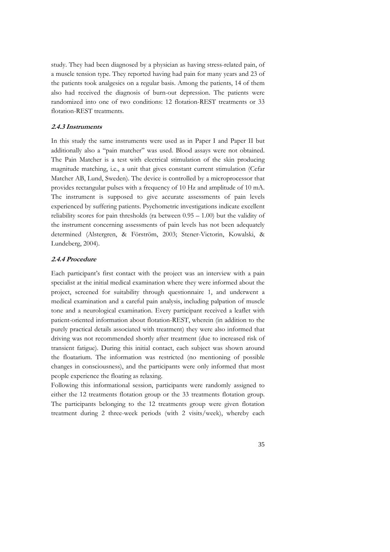study. They had been diagnosed by a physician as having stress-related pain, of a muscle tension type. They reported having had pain for many years and 23 of the patients took analgesics on a regular basis. Among the patients, 14 of them also had received the diagnosis of burn-out depression. The patients were randomized into one of two conditions: 12 flotation-REST treatments or 33 flotation-REST treatments.

### **2.4.3 Instruments**

In this study the same instruments were used as in Paper I and Paper II but additionally also a "pain matcher" was used. Blood assays were not obtained. The Pain Matcher is a test with electrical stimulation of the skin producing magnitude matching, i.e., a unit that gives constant current stimulation (Cefar Matcher AB, Lund, Sweden). The device is controlled by a microprocessor that provides rectangular pulses with a frequency of 10 Hz and amplitude of 10 mA. The instrument is supposed to give accurate assessments of pain levels experienced by suffering patients. Psychometric investigations indicate excellent reliability scores for pain thresholds (ra between 0.95 – 1.00) but the validity of the instrument concerning assessments of pain levels has not been adequately determined (Alstergren, & Förström, 2003; Stener-Victorin, Kowalski, & Lundeberg, 2004).

## **2.4.4 Procedure**

Each participant's first contact with the project was an interview with a pain specialist at the initial medical examination where they were informed about the project, screened for suitability through questionnaire 1, and underwent a medical examination and a careful pain analysis, including palpation of muscle tone and a neurological examination. Every participant received a leaflet with patient-oriented information about flotation-REST, wherein (in addition to the purely practical details associated with treatment) they were also informed that driving was not recommended shortly after treatment (due to increased risk of transient fatigue). During this initial contact, each subject was shown around the floatarium. The information was restricted (no mentioning of possible changes in consciousness), and the participants were only informed that most people experience the floating as relaxing.

Following this informational session, participants were randomly assigned to either the 12 treatments flotation group or the 33 treatments flotation group. The participants belonging to the 12 treatments group were given flotation treatment during 2 three-week periods (with 2 visits/week), whereby each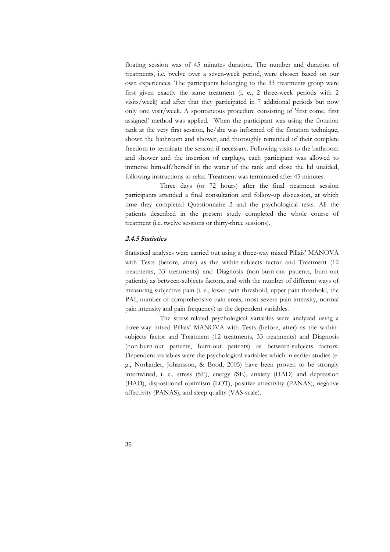floating session was of 45 minutes duration. The number and duration of treatments, i.e. twelve over a seven-week period, were chosen based on our own experiences. The participants belonging to the 33 treatments group were first given exactly the same treatment (i. e., 2 three-week periods with 2 visits/week) and after that they participated in 7 additional periods but now only one visit/week. A spontaneous procedure consisting of 'first come, first assigned' method was applied. When the participant was using the flotation tank at the very first session, he/she was informed of the flotation technique, shown the bathroom and shower, and thoroughly reminded of their complete freedom to terminate the session if necessary. Following visits to the bathroom and shower and the insertion of earplugs, each participant was allowed to immerse himself/herself in the water of the tank and close the lid unaided, following instructions to relax. Treatment was terminated after 45 minutes.

 Three days (or 72 hours) after the final treatment session participants attended a final consultation and follow-up discussion, at which time they completed Questionnaire 2 and the psychological tests. All the patients described in the present study completed the whole course of treatment (i.e. twelve sessions or thirty-three sessions).

#### **2.4.5 Statistics**

Statistical analyses were carried out using a three-way mixed Pillais' MANOVA with Tests (before, after) as the within-subjects factor and Treatment (12 treatments, 33 treatments) and Diagnosis (non-burn-out patients, burn-out patients) as between-subjects factors, and with the number of different ways of measuring subjective pain (i. e., lower pain threshold, upper pain threshold, the PAI, number of comprehensive pain areas, most severe pain intensity, normal pain intensity and pain frequency) as the dependent variables.

 The stress-related psychological variables were analyzed using a three-way mixed Pillais' MANOVA with Tests (before, after) as the withinsubjects factor and Treatment (12 treatments, 33 treatments) and Diagnosis (non-burn-out patients, burn-out patients) as between-subjects factors. Dependent variables were the psychological variables which in earlier studies (e. g., Norlander, Johansson, & Bood, 2005) have been proven to be strongly intertwined, i. e., stress (SE), energy (SE), anxiety (HAD) and depression (HAD), dispositional optimism (LOT), positive affectivity (PANAS), negative affectivity (PANAS), and sleep quality (VAS-scale).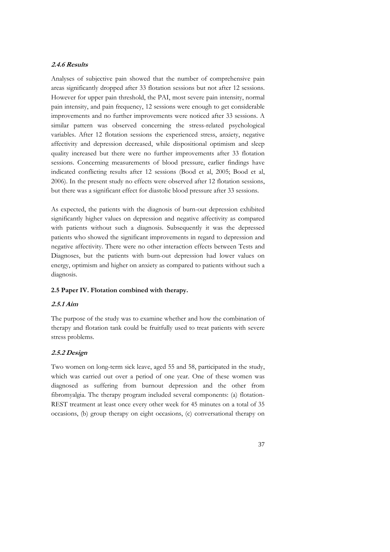# **2.4.6 Results**

Analyses of subjective pain showed that the number of comprehensive pain areas significantly dropped after 33 flotation sessions but not after 12 sessions. However for upper pain threshold, the PAI, most severe pain intensity, normal pain intensity, and pain frequency, 12 sessions were enough to get considerable improvements and no further improvements were noticed after 33 sessions. A similar pattern was observed concerning the stress-related psychological variables. After 12 flotation sessions the experienced stress, anxiety, negative affectivity and depression decreased, while dispositional optimism and sleep quality increased but there were no further improvements after 33 flotation sessions. Concerning measurements of blood pressure, earlier findings have indicated conflicting results after 12 sessions (Bood et al, 2005; Bood et al, 2006). In the present study no effects were observed after 12 flotation sessions, but there was a significant effect for diastolic blood pressure after 33 sessions.

As expected, the patients with the diagnosis of burn-out depression exhibited significantly higher values on depression and negative affectivity as compared with patients without such a diagnosis. Subsequently it was the depressed patients who showed the significant improvements in regard to depression and negative affectivity. There were no other interaction effects between Tests and Diagnoses, but the patients with burn-out depression had lower values on energy, optimism and higher on anxiety as compared to patients without such a diagnosis.

## **2.5 Paper IV. Flotation combined with therapy.**

# **2.5.1 Aim**

The purpose of the study was to examine whether and how the combination of therapy and flotation tank could be fruitfully used to treat patients with severe stress problems.

# **2.5.2 Design**

Two women on long-term sick leave, aged 55 and 58, participated in the study, which was carried out over a period of one year. One of these women was diagnosed as suffering from burnout depression and the other from fibromyalgia. The therapy program included several components: (a) flotation-REST treatment at least once every other week for 45 minutes on a total of 35 occasions, (b) group therapy on eight occasions, (c) conversational therapy on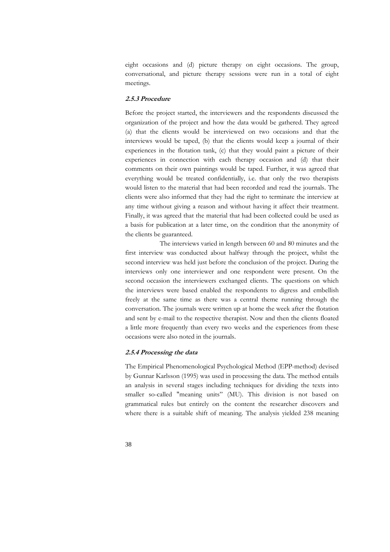eight occasions and (d) picture therapy on eight occasions. The group, conversational, and picture therapy sessions were run in a total of eight meetings.

### **2.5.3 Procedure**

Before the project started, the interviewers and the respondents discussed the organization of the project and how the data would be gathered. They agreed (a) that the clients would be interviewed on two occasions and that the interviews would be taped, (b) that the clients would keep a journal of their experiences in the flotation tank, (c) that they would paint a picture of their experiences in connection with each therapy occasion and (d) that their comments on their own paintings would be taped. Further, it was agreed that everything would be treated confidentially, i.e. that only the two therapists would listen to the material that had been recorded and read the journals. The clients were also informed that they had the right to terminate the interview at any time without giving a reason and without having it affect their treatment. Finally, it was agreed that the material that had been collected could be used as a basis for publication at a later time, on the condition that the anonymity of the clients be guaranteed.

 The interviews varied in length between 60 and 80 minutes and the first interview was conducted about halfway through the project, whilst the second interview was held just before the conclusion of the project. During the interviews only one interviewer and one respondent were present. On the second occasion the interviewers exchanged clients. The questions on which the interviews were based enabled the respondents to digress and embellish freely at the same time as there was a central theme running through the conversation. The journals were written up at home the week after the flotation and sent by e-mail to the respective therapist. Now and then the clients floated a little more frequently than every two weeks and the experiences from these occasions were also noted in the journals.

#### **2.5.4 Processing the data**

The Empirical Phenomenological Psychological Method (EPP-method) devised by Gunnar Karlsson (1995) was used in processing the data. The method entails an analysis in several stages including techniques for dividing the texts into smaller so-called "meaning units" (MU). This division is not based on grammatical rules but entirely on the content the researcher discovers and where there is a suitable shift of meaning. The analysis yielded 238 meaning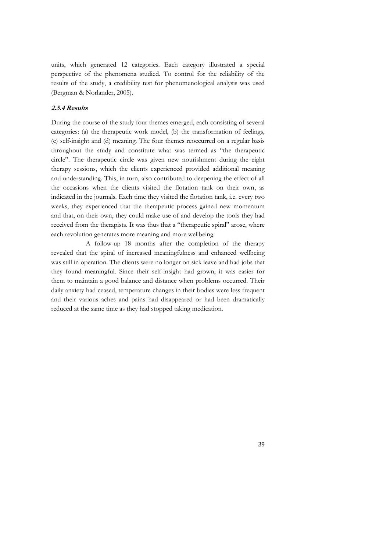units, which generated 12 categories. Each category illustrated a special perspective of the phenomena studied. To control for the reliability of the results of the study, a credibility test for phenomenological analysis was used (Bergman & Norlander, 2005).

## **2.5.4 Results**

During the course of the study four themes emerged, each consisting of several categories: (a) the therapeutic work model, (b) the transformation of feelings, (c) self-insight and (d) meaning. The four themes reoccurred on a regular basis throughout the study and constitute what was termed as "the therapeutic circle". The therapeutic circle was given new nourishment during the eight therapy sessions, which the clients experienced provided additional meaning and understanding. This, in turn, also contributed to deepening the effect of all the occasions when the clients visited the flotation tank on their own, as indicated in the journals. Each time they visited the flotation tank, i.e. every two weeks, they experienced that the therapeutic process gained new momentum and that, on their own, they could make use of and develop the tools they had received from the therapists. It was thus that a "therapeutic spiral" arose, where each revolution generates more meaning and more wellbeing.

A follow-up 18 months after the completion of the therapy revealed that the spiral of increased meaningfulness and enhanced wellbeing was still in operation. The clients were no longer on sick leave and had jobs that they found meaningful. Since their self-insight had grown, it was easier for them to maintain a good balance and distance when problems occurred. Their daily anxiety had ceased, temperature changes in their bodies were less frequent and their various aches and pains had disappeared or had been dramatically reduced at the same time as they had stopped taking medication.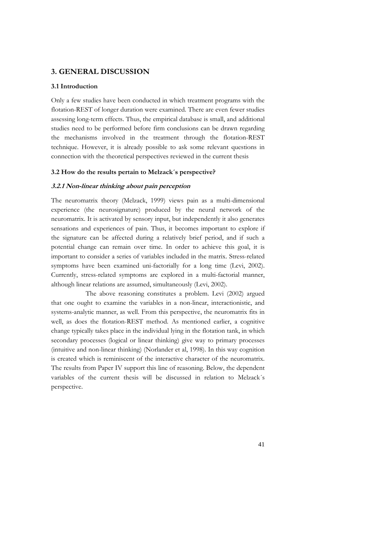# **3. GENERAL DISCUSSION**

## **3.1 Introduction**

Only a few studies have been conducted in which treatment programs with the flotation-REST of longer duration were examined. There are even fewer studies assessing long-term effects. Thus, the empirical database is small, and additional studies need to be performed before firm conclusions can be drawn regarding the mechanisms involved in the treatment through the flotation-REST technique. However, it is already possible to ask some relevant questions in connection with the theoretical perspectives reviewed in the current thesis

## **3.2 How do the results pertain to Melzack´s perspective?**

## **3.2.1 Non-linear thinking about pain perception**

The neuromatrix theory (Melzack, 1999) views pain as a multi-dimensional experience (the neurosignature) produced by the neural network of the neuromatrix. It is activated by sensory input, but independently it also generates sensations and experiences of pain. Thus, it becomes important to explore if the signature can be affected during a relatively brief period, and if such a potential change can remain over time. In order to achieve this goal, it is important to consider a series of variables included in the matrix. Stress-related symptoms have been examined uni-factorially for a long time (Levi, 2002). Currently, stress-related symptoms are explored in a multi-factorial manner, although linear relations are assumed, simultaneously (Levi, 2002).

The above reasoning constitutes a problem. Levi (2002) argued that one ought to examine the variables in a non-linear, interactionistic, and systems-analytic manner, as well. From this perspective, the neuromatrix fits in well, as does the flotation-REST method. As mentioned earlier, a cognitive change typically takes place in the individual lying in the flotation tank, in which secondary processes (logical or linear thinking) give way to primary processes (intuitive and non-linear thinking) (Norlander et al, 1998). In this way cognition is created which is reminiscent of the interactive character of the neuromatrix. The results from Paper IV support this line of reasoning. Below, the dependent variables of the current thesis will be discussed in relation to Melzack´s perspective.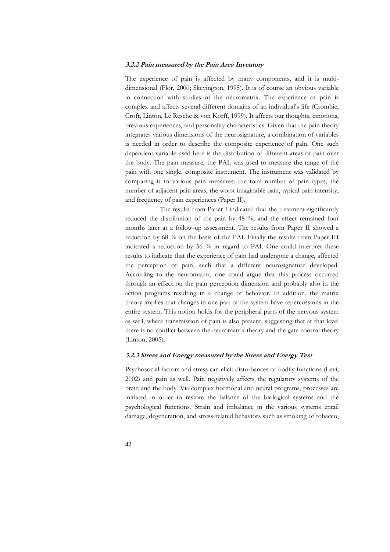#### **3.2.2 Pain measured by the Pain Area Inventory**

The experience of pain is affected by many components, and it is multidimensional (Flor, 2000; Skevington, 1995). It is of course an obvious variable in connection with studies of the neuromatrix. The experience of pain is complex and affects several different domains of an individual's life (Crombie, Croft, Linton, Le Resche & von Korff, 1999). It affects our thoughts, emotions, previous experiences, and personality characteristics. Given that the pain theory integrates various dimensions of the neurosignature, a combination of variables is needed in order to describe the composite experience of pain. One such dependent variable used here is the distribution of different areas of pain over the body. The pain measure, the PAI, was used to measure the range of the pain with one single, composite instrument. The instrument was validated by comparing it to various pain measures: the total number of pain types, the number of adjacent pain areas, the worst imaginable pain, typical pain intensity, and frequency of pain experiences (Paper II).

The results from Paper I indicated that the treatment significantly reduced the distribution of the pain by 48 %, and the effect remained four months later at a follow-up assessment. The results from Paper II showed a reduction by 68 % on the basis of the PAI. Finally the results from Paper III indicated a reduction by 56 % in regard to PAI. One could interpret these results to indicate that the experience of pain had undergone a change, affected the perception of pain, such that a different neurosignature developed. According to the neuromatrix, one could argue that this process occurred through an effect on the pain perception dimension and probably also in the action programs resulting in a change of behavior. In addition, the matrix theory implies that changes in one part of the system have repercussions in the entire system. This notion holds for the peripheral parts of the nervous system as well, where transmission of pain is also present, suggesting that at that level there is no conflict between the neuromatrix theory and the gate control theory (Linton, 2005).

#### **3.2.3 Stress and Energy measured by the Stress and Energy Test**

Psychosocial factors and stress can elicit disturbances of bodily functions (Levi, 2002) and pain as well. Pain negatively affects the regulatory systems of the brain and the body. Via complex hormonal and neural programs, processes are initiated in order to restore the balance of the biological systems and the psychological functions. Strain and imbalance in the various systems entail damage, degeneration, and stress-related behaviors such as smoking of tobacco,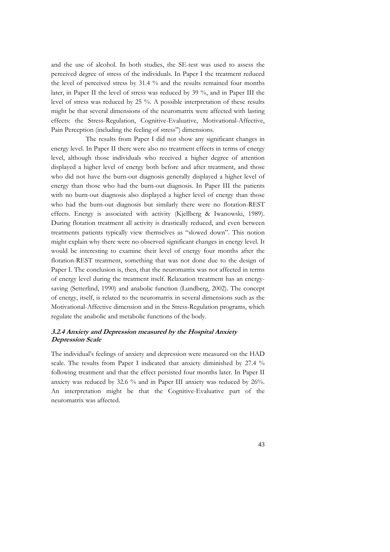and the use of alcohol. In both studies, the SE-test was used to assess the perceived degree of stress of the individuals. In Paper I the treatment reduced the level of perceived stress by 31.4 % and the results remained four months later, in Paper II the level of stress was reduced by 39 %, and in Paper III the level of stress was reduced by 25 %. A possible interpretation of these results might be that several dimensions of the neuromatrix were affected with lasting effects: the Stress-Regulation, Cognitive-Evaluative, Motivational-Affective, Pain Perception (including the feeling of stress") dimensions.

The results from Paper I did not show any significant changes in energy level. In Paper II there were also no treatment effects in terms of energy level, although those individuals who received a higher degree of attention displayed a higher level of energy both before and after treatment, and those who did not have the burn-out diagnosis generally displayed a higher level of energy than those who had the burn-out diagnosis. In Paper III the patients with no burn-out diagnosis also displayed a higher level of energy than those who had the burn-out diagnosis but similarly there were no flotation-REST effects. Energy is associated with activity (Kjellberg & Iwanowski, 1989). During flotation treatment all activity is drastically reduced, and even between treatments patients typically view themselves as "slowed down". This notion might explain why there were no observed significant changes in energy level. It would be interesting to examine their level of energy four months after the flotation-REST treatment, something that was not done due to the design of Paper I. The conclusion is, then, that the neuromatrix was not affected in terms of energy level during the treatment itself. Relaxation treatment has an energysaving (Setterlind, 1990) and anabolic function (Lundberg, 2002). The concept of energy, itself, is related to the neuromatrix in several dimensions such as the Motivational-Affective dimension and in the Stress-Regulation programs, which regulate the anabolic and metabolic functions of the body.

## **3.2.4 Anxiety and Depression measured by the Hospital Anxiety Depression Scale**

The individual's feelings of anxiety and depression were measured on the HAD scale. The results from Paper I indicated that anxiety diminished by 27.4 % following treatment and that the effect persisted four months later. In Paper II anxiety was reduced by 32.6 % and in Paper III anxiety was reduced by 26%. An interpretation might be that the Cognitive-Evaluative part of the neuromatrix was affected.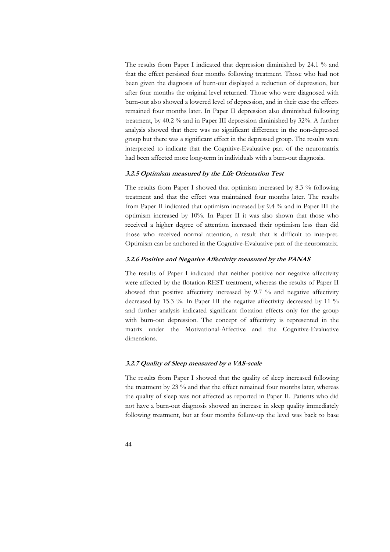The results from Paper I indicated that depression diminished by 24.1 % and that the effect persisted four months following treatment. Those who had not been given the diagnosis of burn-out displayed a reduction of depression, but after four months the original level returned. Those who were diagnosed with burn-out also showed a lowered level of depression, and in their case the effects remained four months later. In Paper II depression also diminished following treatment, by 40.2 % and in Paper III depression diminished by 32%. A further analysis showed that there was no significant difference in the non-depressed group but there was a significant effect in the depressed group. The results were interpreted to indicate that the Cognitive-Evaluative part of the neuromatrix had been affected more long-term in individuals with a burn-out diagnosis.

#### **3.2.5 Optimism measured by the Life Orientation Test**

The results from Paper I showed that optimism increased by 8.3 % following treatment and that the effect was maintained four months later. The results from Paper II indicated that optimism increased by 9.4 % and in Paper III the optimism increased by 10%. In Paper II it was also shown that those who received a higher degree of attention increased their optimism less than did those who received normal attention, a result that is difficult to interpret. Optimism can be anchored in the Cognitive-Evaluative part of the neuromatrix.

## **3.2.6 Positive and Negative Affectivity measured by the PANAS**

The results of Paper I indicated that neither positive nor negative affectivity were affected by the flotation-REST treatment, whereas the results of Paper II showed that positive affectivity increased by 9.7 % and negative affectivity decreased by 15.3 %. In Paper III the negative affectivity decreased by 11 % and further analysis indicated significant flotation effects only for the group with burn-out depression. The concept of affectivity is represented in the matrix under the Motivational-Affective and the Cognitive-Evaluative dimensions.

#### **3.2.7 Quality of Sleep measured by a VAS-scale**

The results from Paper I showed that the quality of sleep increased following the treatment by 23 % and that the effect remained four months later, whereas the quality of sleep was not affected as reported in Paper II. Patients who did not have a burn-out diagnosis showed an increase in sleep quality immediately following treatment, but at four months follow-up the level was back to base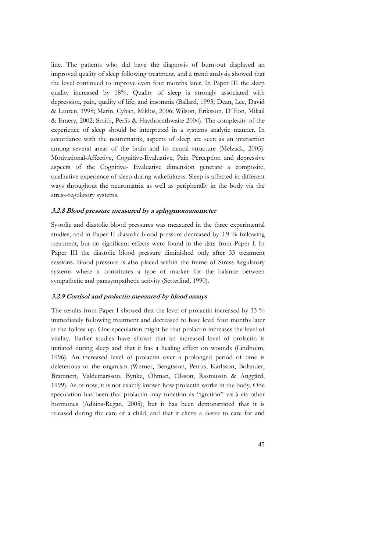line. The patients who did have the diagnosis of burn-out displayed an improved quality of sleep following treatment, and a trend analysis showed that the level continued to improve even four months later. In Paper III the sleep quality increased by 18%. Quality of sleep is strongly associated with depression, pain, quality of life, and insomnia (Ballard, 1993; Dean, Lee, David & Lauren, 1998; Marin, Cyhan, Miklos, 2006; Wilson, Eriksson, D´Eon, Mikail & Emery, 2002; Smith, Perlis & Haythornthwaite 2004). The complexity of the experience of sleep should be interpreted in a systems analytic manner. In accordance with the neuromatrix, aspects of sleep are seen as an interaction among several areas of the brain and its neural structure (Melzack, 2005). Motivational-Affective, Cognitive-Evaluative, Pain Perception and depressive aspects of the Cognitive- Evaluative dimension generate a composite, qualitative experience of sleep during wakefulness. Sleep is affected in different ways throughout the neuromatrix as well as peripherally in the body via the stress-regulatory systems.

## **3.2.8 Blood pressure measured by a sphygmomanometer**

Systolic and diastolic blood pressures was measured in the three experimental studies, and in Paper II diastolic blood pressure decreased by 3.9 % following treatment, but no significant effects were found in the data from Paper I. In Paper III the diastolic blood pressure diminished only after 33 treatment sessions. Blood pressure is also placed within the frame of Stress-Regulatory systems where it constitutes a type of marker for the balance between sympathetic and parasympathetic activity (Setterlind, 1990).

## **3.2.9 Cortisol and prolactin measured by blood assays**

The results from Paper I showed that the level of prolactin increased by 33 % immediately following treatment and decreased to base level four months later at the follow-up. One speculation might be that prolactin increases the level of vitality. Earlier studies have shown that an increased level of prolactin is initiated during sleep and that it has a healing effect on wounds (Lindholm, 1996). An increased level of prolactin over a prolonged period of time is deleterious to the organism (Werner, Bengtsson, Petrus, Karlsson, Bolander, Bramnert, Valdemarsson, Bynke, Öhman, Olsson, Rasmuson & Änggård, 1999). As of now, it is not exactly known how prolactin works in the body. One speculation has been that prolactin may function as "ignition" vis-à-vis other hormones (Adkins-Regan, 2005), but it has been demonstrated that it is released during the care of a child, and that it elicits a desire to care for and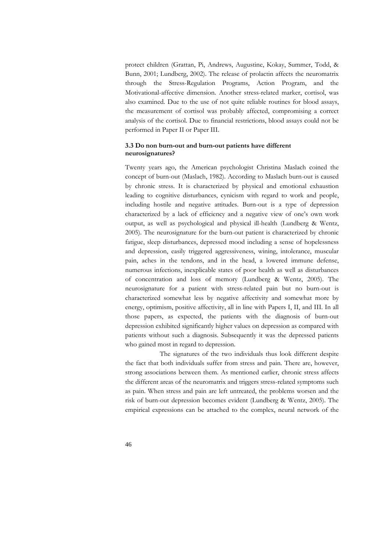protect children (Grattan, Pi, Andrews, Augustine, Kokay, Summer, Todd, & Bunn, 2001; Lundberg, 2002). The release of prolactin affects the neuromatrix through the Stress-Regulation Programs, Action Program, and the Motivational-affective dimension. Another stress-related marker, cortisol, was also examined. Due to the use of not quite reliable routines for blood assays, the measurement of cortisol was probably affected, compromising a correct analysis of the cortisol. Due to financial restrictions, blood assays could not be performed in Paper II or Paper III.

## **3.3 Do non burn-out and burn-out patients have different neurosignatures?**

Twenty years ago, the American psychologist Christina Maslach coined the concept of burn-out (Maslach, 1982). According to Maslach burn-out is caused by chronic stress. It is characterized by physical and emotional exhaustion leading to cognitive disturbances, cynicism with regard to work and people, including hostile and negative attitudes. Burn-out is a type of depression characterized by a lack of efficiency and a negative view of one's own work output, as well as psychological and physical ill-health (Lundberg & Wentz, 2005). The neurosignature for the burn-out patient is characterized by chronic fatigue, sleep disturbances, depressed mood including a sense of hopelessness and depression, easily triggered aggressiveness, wining, intolerance, muscular pain, aches in the tendons, and in the head, a lowered immune defense, numerous infections, inexplicable states of poor health as well as disturbances of concentration and loss of memory (Lundberg & Wentz, 2005). The neurosignature for a patient with stress-related pain but no burn-out is characterized somewhat less by negative affectivity and somewhat more by energy, optimism, positive affectivity, all in line with Papers I, II, and III. In all those papers, as expected, the patients with the diagnosis of burn-out depression exhibited significantly higher values on depression as compared with patients without such a diagnosis. Subsequently it was the depressed patients who gained most in regard to depression.

The signatures of the two individuals thus look different despite the fact that both individuals suffer from stress and pain. There are, however, strong associations between them. As mentioned earlier, chronic stress affects the different areas of the neuromatrix and triggers stress-related symptoms such as pain. When stress and pain are left untreated, the problems worsen and the risk of burn-out depression becomes evident (Lundberg & Wentz, 2005). The empirical expressions can be attached to the complex, neural network of the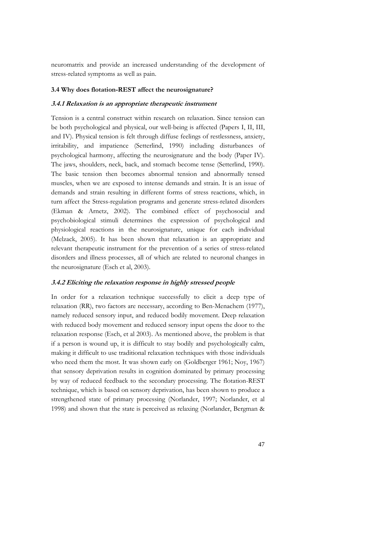neuromatrix and provide an increased understanding of the development of stress-related symptoms as well as pain.

#### **3.4 Why does flotation-REST affect the neurosignature?**

#### **3.4.1 Relaxation is an appropriate therapeutic instrument**

Tension is a central construct within research on relaxation. Since tension can be both psychological and physical, our well-being is affected (Papers I, II, III, and IV). Physical tension is felt through diffuse feelings of restlessness, anxiety, irritability, and impatience (Setterlind, 1990) including disturbances of psychological harmony, affecting the neurosignature and the body (Paper IV). The jaws, shoulders, neck, back, and stomach become tense (Setterlind, 1990). The basic tension then becomes abnormal tension and abnormally tensed muscles, when we are exposed to intense demands and strain. It is an issue of demands and strain resulting in different forms of stress reactions, which, in turn affect the Stress-regulation programs and generate stress-related disorders (Ekman & Arnetz, 2002). The combined effect of psychosocial and psychobiological stimuli determines the expression of psychological and physiological reactions in the neurosignature, unique for each individual (Melzack, 2005). It has been shown that relaxation is an appropriate and relevant therapeutic instrument for the prevention of a series of stress-related disorders and illness processes, all of which are related to neuronal changes in the neurosignature (Esch et al, 2003).

## **3.4.2 Eliciting the relaxation response in highly stressed people**

In order for a relaxation technique successfully to elicit a deep type of relaxation (RR), two factors are necessary, according to Ben-Menachem (1977), namely reduced sensory input, and reduced bodily movement. Deep relaxation with reduced body movement and reduced sensory input opens the door to the relaxation response (Esch, et al 2003). As mentioned above, the problem is that if a person is wound up, it is difficult to stay bodily and psychologically calm, making it difficult to use traditional relaxation techniques with those individuals who need them the most. It was shown early on (Goldberger 1961; Noy, 1967) that sensory deprivation results in cognition dominated by primary processing by way of reduced feedback to the secondary processing. The flotation-REST technique, which is based on sensory deprivation, has been shown to produce a strengthened state of primary processing (Norlander, 1997; Norlander, et al 1998) and shown that the state is perceived as relaxing (Norlander, Bergman &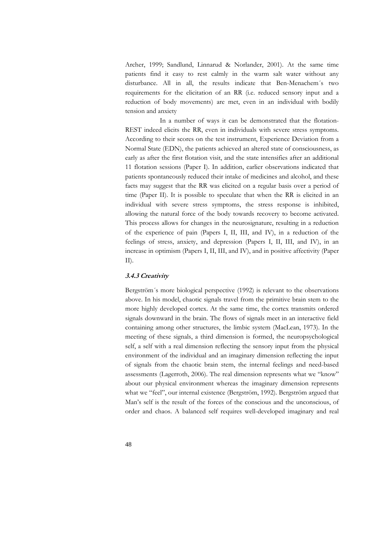Archer, 1999; Sandlund, Linnarud & Norlander, 2001). At the same time patients find it easy to rest calmly in the warm salt water without any disturbance. All in all, the results indicate that Ben-Menachem´s two requirements for the elicitation of an RR (i.e. reduced sensory input and a reduction of body movements) are met, even in an individual with bodily tension and anxiety

In a number of ways it can be demonstrated that the flotation-REST indeed elicits the RR, even in individuals with severe stress symptoms. According to their scores on the test instrument, Experience Deviation from a Normal State (EDN), the patients achieved an altered state of consciousness, as early as after the first flotation visit, and the state intensifies after an additional 11 flotation sessions (Paper I). In addition, earlier observations indicated that patients spontaneously reduced their intake of medicines and alcohol, and these facts may suggest that the RR was elicited on a regular basis over a period of time (Paper II). It is possible to speculate that when the RR is elicited in an individual with severe stress symptoms, the stress response is inhibited, allowing the natural force of the body towards recovery to become activated. This process allows for changes in the neurosignature, resulting in a reduction of the experience of pain (Papers I, II, III, and IV), in a reduction of the feelings of stress, anxiety, and depression (Papers I, II, III, and IV), in an increase in optimism (Papers I, II, III, and IV), and in positive affectivity (Paper  $II$ ).

#### **3.4.3 Creativity**

Bergström´s more biological perspective (1992) is relevant to the observations above. In his model, chaotic signals travel from the primitive brain stem to the more highly developed cortex. At the same time, the cortex transmits ordered signals downward in the brain. The flows of signals meet in an interactive field containing among other structures, the limbic system (MacLean, 1973). In the meeting of these signals, a third dimension is formed, the neuropsychological self, a self with a real dimension reflecting the sensory input from the physical environment of the individual and an imaginary dimension reflecting the input of signals from the chaotic brain stem, the internal feelings and need-based assessments (Lagerroth, 2006). The real dimension represents what we "know" about our physical environment whereas the imaginary dimension represents what we "feel", our internal existence (Bergström, 1992). Bergström argued that Man's self is the result of the forces of the conscious and the unconscious, of order and chaos. A balanced self requires well-developed imaginary and real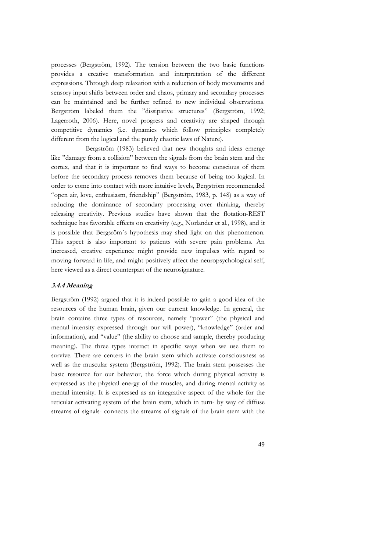processes (Bergström, 1992). The tension between the two basic functions provides a creative transformation and interpretation of the different expressions. Through deep relaxation with a reduction of body movements and sensory input shifts between order and chaos, primary and secondary processes can be maintained and be further refined to new individual observations. Bergström labeled them the "dissipative structures" (Bergström, 1992; Lagerroth, 2006). Here, novel progress and creativity are shaped through competitive dynamics (i.e. dynamics which follow principles completely different from the logical and the purely chaotic laws of Nature).

Bergström (1983) believed that new thoughts and ideas emerge like "damage from a collision" between the signals from the brain stem and the cortex, and that it is important to find ways to become conscious of them before the secondary process removes them because of being too logical. In order to come into contact with more intuitive levels, Bergström recommended "open air, love, enthusiasm, friendship" (Bergström, 1983, p. 148) as a way of reducing the dominance of secondary processing over thinking, thereby releasing creativity. Previous studies have shown that the flotation-REST technique has favorable effects on creativity (e.g., Norlander et al., 1998), and it is possible that Bergsröm´s hypothesis may shed light on this phenomenon. This aspect is also important to patients with severe pain problems. An increased, creative experience might provide new impulses with regard to moving forward in life, and might positively affect the neuropsychological self, here viewed as a direct counterpart of the neurosignature.

## **3.4.4 Meaning**

Bergström (1992) argued that it is indeed possible to gain a good idea of the resources of the human brain, given our current knowledge. In general, the brain contains three types of resources, namely "power" (the physical and mental intensity expressed through our will power), "knowledge" (order and information), and "value" (the ability to choose and sample, thereby producing meaning). The three types interact in specific ways when we use them to survive. There are centers in the brain stem which activate consciousness as well as the muscular system (Bergström, 1992). The brain stem possesses the basic resource for our behavior, the force which during physical activity is expressed as the physical energy of the muscles, and during mental activity as mental intensity. It is expressed as an integrative aspect of the whole for the reticular activating system of the brain stem, which in turn- by way of diffuse streams of signals- connects the streams of signals of the brain stem with the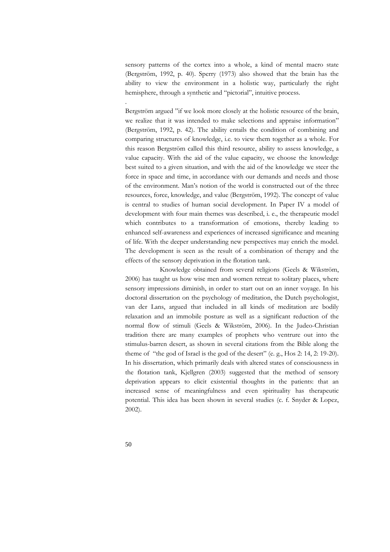sensory patterns of the cortex into a whole, a kind of mental macro state (Bergström, 1992, p. 40). Sperry (1973) also showed that the brain has the ability to view the environment in a holistic way, particularly the right hemisphere, through a synthetic and "pictorial", intuitive process.

Bergström argued "if we look more closely at the holistic resource of the brain, we realize that it was intended to make selections and appraise information" (Bergström, 1992, p. 42). The ability entails the condition of combining and comparing structures of knowledge, i.e. to view them together as a whole. For this reason Bergström called this third resource, ability to assess knowledge, a value capacity. With the aid of the value capacity, we choose the knowledge best suited to a given situation, and with the aid of the knowledge we steer the force in space and time, in accordance with our demands and needs and those of the environment. Man's notion of the world is constructed out of the three resources, force, knowledge, and value (Bergström, 1992). The concept of value is central to studies of human social development. In Paper IV a model of development with four main themes was described, i. e., the therapeutic model which contributes to a transformation of emotions, thereby leading to enhanced self-awareness and experiences of increased significance and meaning of life. With the deeper understanding new perspectives may enrich the model. The development is seen as the result of a combination of therapy and the effects of the sensory deprivation in the flotation tank.

 Knowledge obtained from several religions (Geels & Wikström, 2006) has taught us how wise men and women retreat to solitary places, where sensory impressions diminish, in order to start out on an inner voyage. In his doctoral dissertation on the psychology of meditation, the Dutch psychologist, van der Lans, argued that included in all kinds of meditation are bodily relaxation and an immobile posture as well as a significant reduction of the normal flow of stimuli (Geels & Wikström, 2006). In the Judeo-Christian tradition there are many examples of prophets who ventrure out into the stimulus-barren desert, as shown in several citations from the Bible along the theme of "the god of Israel is the god of the desert" (e. g., Hos 2: 14, 2: 19-20). In his dissertation, which primarily deals with altered states of consciousness in the flotation tank, Kjellgren (2003) suggested that the method of sensory deprivation appears to elicit existential thoughts in the patients: that an increased sense of meaningfulness and even spirituality has therapeutic potential. This idea has been shown in several studies (c. f. Snyder & Lopez, 2002).

.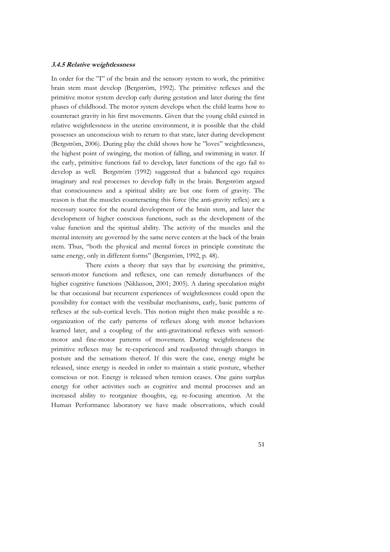#### **3.4.5 Relative weightlessness**

In order for the "I" of the brain and the sensory system to work, the primitive brain stem must develop (Bergström, 1992). The primitive reflexes and the primitive motor system develop early during gestation and later during the first phases of childhood. The motor system develops when the child learns how to counteract gravity in his first movements. Given that the young child existed in relative weightlessness in the uterine environment, it is possible that the child possesses an unconscious wish to return to that state, later during development (Bergström, 2006). During play the child shows how he "loves" weightlessness, the highest point of swinging, the motion of falling, and swimming in water. If the early, primitive functions fail to develop, later functions of the ego fail to develop as well. Bergström (1992) suggested that a balanced ego requires imaginary and real processes to develop fully in the brain. Bergström argued that consciousness and a spiritual ability are but one form of gravity. The reason is that the muscles counteracting this force (the anti-gravity reflex) are a necessary source for the neural development of the brain stem, and later the development of higher conscious functions, such as the development of the value function and the spiritual ability. The activity of the muscles and the mental intensity are governed by the same nerve centers at the back of the brain stem. Thus, "both the physical and mental forces in principle constitute the same energy, only in different forms" (Bergström, 1992, p. 48).

There exists a theory that says that by exercising the primitive, sensori-motor functions and reflexes, one can remedy disturbances of the higher cognitive functions (Niklasson, 2001; 2005). A daring speculation might be that occasional but recurrent experiences of weightlessness could open the possibility for contact with the vestibular mechanisms, early, basic patterns of reflexes at the sub-cortical levels. This notion might then make possible a reorganization of the early patterns of reflexes along with motor behaviors learned later, and a coupling of the anti-gravitational reflexes with sensorimotor and fine-motor patterns of movement. During weightlessness the primitive reflexes may be re-experienced and readjusted through changes in posture and the sensations thereof. If this were the case, energy might be released, since energy is needed in order to maintain a static posture, whether conscious or not. Energy is released when tension ceases. One gains surplus energy for other activities such as cognitive and mental processes and an increased ability to reorganize thoughts, eg. re-focusing attention. At the Human Performance laboratory we have made observations, which could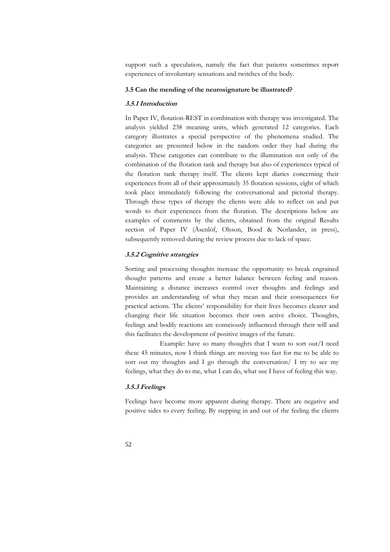support such a speculation, namely the fact that patients sometimes report experiences of involuntary sensations and twitches of the body.

## **3.5 Can the mending of the neurosignature be illustrated?**

## **3.5.1 Introduction**

In Paper IV, flotation-REST in combination with therapy was investigated. The analysis yielded 238 meaning units, which generated 12 categories. Each category illustrates a special perspective of the phenomena studied. The categories are presented below in the random order they had during the analysis. These categories can contribute to the illumination not only of the combination of the flotation tank and therapy but also of experiences typical of the flotation tank therapy itself. The clients kept diaries concerning their experiences from all of their approximately 35 flotation sessions, eight of which took place immediately following the conversational and pictorial therapy. Through these types of therapy the clients were able to reflect on and put words to their experiences from the flotation. The descriptions below are examples of comments by the clients, obtained from the original Results section of Paper IV (Åsenlöf, Olsson, Bood & Norlander, in press), subsequently removed during the review process due to lack of space.

## **3.5.2 Cognitive strategies**

Sorting and processing thoughts increase the opportunity to break engrained thought patterns and create a better balance between feeling and reason. Maintaining a distance increases control over thoughts and feelings and provides an understanding of what they mean and their consequences for practical actions. The clients' responsibility for their lives becomes clearer and changing their life situation becomes their own active choice. Thoughts, feelings and bodily reactions are consciously influenced through their will and this facilitates the development of positive images of the future.

 Example: have so many thoughts that I want to sort out/I need these 45 minutes, now I think things are moving too fast for me to be able to sort out my thoughts and I go through the conversation/ I try to see my feelings, what they do to me, what I can do, what use I have of feeling this way.

## **3.5.3 Feelings**

Feelings have become more apparent during therapy. There are negative and positive sides to every feeling. By stepping in and out of the feeling the clients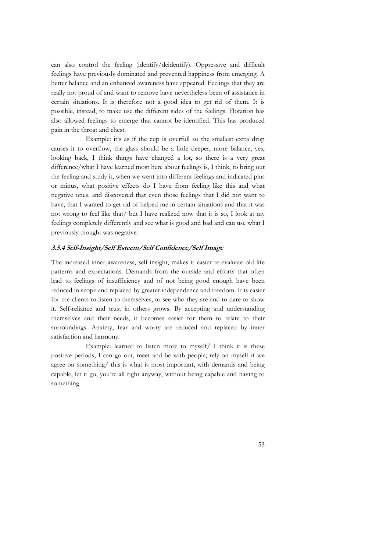can also control the feeling (identify/deidentify). Oppressive and difficult feelings have previously dominated and prevented happiness from emerging. A better balance and an enhanced awareness have appeared. Feelings that they are really not proud of and want to remove have nevertheless been of assistance in certain situations. It is therefore not a good idea to get rid of them. It is possible, instead, to make use the different sides of the feelings. Flotation has also allowed feelings to emerge that cannot be identified. This has produced pain in the throat and chest.

 Example: it's as if the cup is overfull so the smallest extra drop causes it to overflow, the glass should be a little deeper, more balance, yes, looking back, I think things have changed a lot, so there is a very great difference/what I have learned most here about feelings is, I think, to bring out the feeling and study it, when we went into different feelings and indicated plus or minus, what positive effects do I have from feeling like this and what negative ones, and discovered that even those feelings that I did not want to have, that I wanted to get rid of helped me in certain situations and that it was not wrong to feel like that/ but I have realized now that it is so, I look at my feelings completely differently and see what is good and bad and can use what I previously thought was negative.

## **3.5.4 Self-Insight/Self Esteem/Self Confidence/Self Image**

The increased inner awareness, self-insight, makes it easier re-evaluate old life patterns and expectations. Demands from the outside and efforts that often lead to feelings of insufficiency and of not being good enough have been reduced in scope and replaced by greater independence and freedom. It is easier for the clients to listen to themselves, to see who they are and to dare to show it. Self-reliance and trust in others grows. By accepting and understanding themselves and their needs, it becomes easier for them to relate to their surroundings. Anxiety, fear and worry are reduced and replaced by inner satisfaction and harmony.

 Example: learned to listen more to myself/ I think it is these positive periods, I can go out, meet and be with people, rely on myself if we agree on something/ this is what is most important, with demands and being capable, let it go, you're all right anyway, without being capable and having to something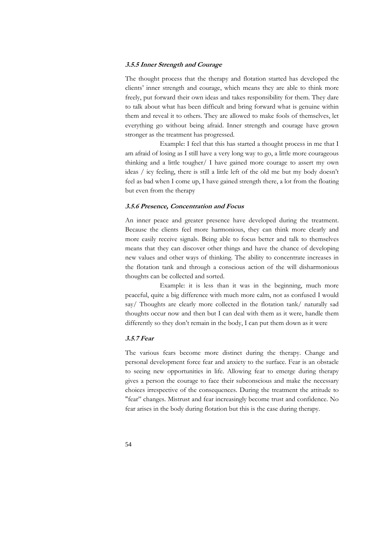### **3.5.5 Inner Strength and Courage**

The thought process that the therapy and flotation started has developed the clients' inner strength and courage, which means they are able to think more freely, put forward their own ideas and takes responsibility for them. They dare to talk about what has been difficult and bring forward what is genuine within them and reveal it to others. They are allowed to make fools of themselves, let everything go without being afraid. Inner strength and courage have grown stronger as the treatment has progressed.

 Example: I feel that this has started a thought process in me that I am afraid of losing as I still have a very long way to go, a little more courageous thinking and a little tougher/ I have gained more courage to assert my own ideas / icy feeling, there is still a little left of the old me but my body doesn't feel as bad when I come up, I have gained strength there, a lot from the floating but even from the therapy

#### **3.5.6 Presence, Concentration and Focus**

An inner peace and greater presence have developed during the treatment. Because the clients feel more harmonious, they can think more clearly and more easily receive signals. Being able to focus better and talk to themselves means that they can discover other things and have the chance of developing new values and other ways of thinking. The ability to concentrate increases in the flotation tank and through a conscious action of the will disharmonious thoughts can be collected and sorted.

 Example: it is less than it was in the beginning, much more peaceful, quite a big difference with much more calm, not as confused I would say/ Thoughts are clearly more collected in the flotation tank/ naturally sad thoughts occur now and then but I can deal with them as it were, handle them differently so they don't remain in the body, I can put them down as it were

#### **3.5.7 Fear**

The various fears become more distinct during the therapy. Change and personal development force fear and anxiety to the surface. Fear is an obstacle to seeing new opportunities in life. Allowing fear to emerge during therapy gives a person the courage to face their subconscious and make the necessary choices irrespective of the consequences. During the treatment the attitude to "fear" changes. Mistrust and fear increasingly become trust and confidence. No fear arises in the body during flotation but this is the case during therapy.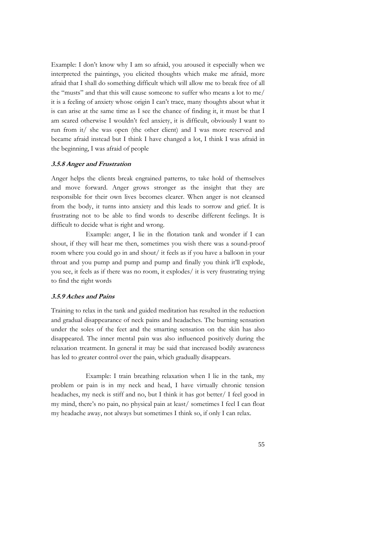Example: I don't know why I am so afraid, you aroused it especially when we interpreted the paintings, you elicited thoughts which make me afraid, more afraid that I shall do something difficult which will allow me to break free of all the "musts" and that this will cause someone to suffer who means a lot to me/ it is a feeling of anxiety whose origin I can't trace, many thoughts about what it is can arise at the same time as I see the chance of finding it, it must be that I am scared otherwise I wouldn't feel anxiety, it is difficult, obviously I want to run from it/ she was open (the other client) and I was more reserved and became afraid instead but I think I have changed a lot, I think I was afraid in the beginning, I was afraid of people

## **3.5.8 Anger and Frustration**

Anger helps the clients break engrained patterns, to take hold of themselves and move forward. Anger grows stronger as the insight that they are responsible for their own lives becomes clearer. When anger is not cleansed from the body, it turns into anxiety and this leads to sorrow and grief. It is frustrating not to be able to find words to describe different feelings. It is difficult to decide what is right and wrong.

 Example: anger, I lie in the flotation tank and wonder if I can shout, if they will hear me then, sometimes you wish there was a sound-proof room where you could go in and shout/ it feels as if you have a balloon in your throat and you pump and pump and pump and finally you think it'll explode, you see, it feels as if there was no room, it explodes/ it is very frustrating trying to find the right words

## **3.5.9 Aches and Pains**

Training to relax in the tank and guided meditation has resulted in the reduction and gradual disappearance of neck pains and headaches. The burning sensation under the soles of the feet and the smarting sensation on the skin has also disappeared. The inner mental pain was also influenced positively during the relaxation treatment. In general it may be said that increased bodily awareness has led to greater control over the pain, which gradually disappears.

 Example: I train breathing relaxation when I lie in the tank, my problem or pain is in my neck and head, I have virtually chronic tension headaches, my neck is stiff and no, but I think it has got better/ I feel good in my mind, there's no pain, no physical pain at least/ sometimes I feel I can float my headache away, not always but sometimes I think so, if only I can relax.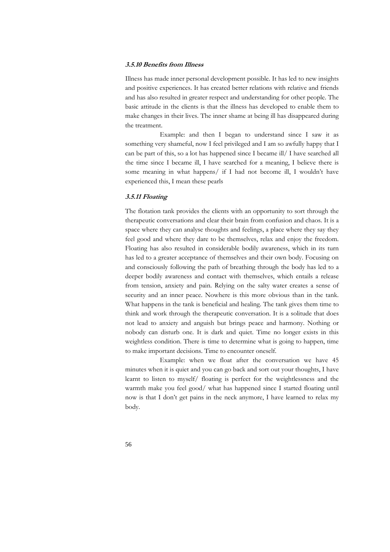#### **3.5.10 Benefits from Illness**

Illness has made inner personal development possible. It has led to new insights and positive experiences. It has created better relations with relative and friends and has also resulted in greater respect and understanding for other people. The basic attitude in the clients is that the illness has developed to enable them to make changes in their lives. The inner shame at being ill has disappeared during the treatment.

 Example: and then I began to understand since I saw it as something very shameful, now I feel privileged and I am so awfully happy that I can be part of this, so a lot has happened since I became ill/ I have searched all the time since I became ill, I have searched for a meaning, I believe there is some meaning in what happens/ if I had not become ill, I wouldn't have experienced this, I mean these pearls

## **3.5.11 Floating**

The flotation tank provides the clients with an opportunity to sort through the therapeutic conversations and clear their brain from confusion and chaos. It is a space where they can analyse thoughts and feelings, a place where they say they feel good and where they dare to be themselves, relax and enjoy the freedom. Floating has also resulted in considerable bodily awareness, which in its turn has led to a greater acceptance of themselves and their own body. Focusing on and consciously following the path of breathing through the body has led to a deeper bodily awareness and contact with themselves, which entails a release from tension, anxiety and pain. Relying on the salty water creates a sense of security and an inner peace. Nowhere is this more obvious than in the tank. What happens in the tank is beneficial and healing. The tank gives them time to think and work through the therapeutic conversation. It is a solitude that does not lead to anxiety and anguish but brings peace and harmony. Nothing or nobody can disturb one. It is dark and quiet. Time no longer exists in this weightless condition. There is time to determine what is going to happen, time to make important decisions. Time to encounter oneself.

 Example: when we float after the conversation we have 45 minutes when it is quiet and you can go back and sort out your thoughts, I have learnt to listen to myself/ floating is perfect for the weightlessness and the warmth make you feel good/ what has happened since I started floating until now is that I don't get pains in the neck anymore, I have learned to relax my body.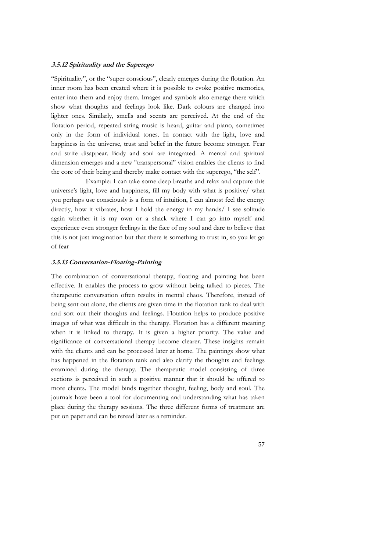## **3.5.12 Spirituality and the Superego**

"Spirituality", or the "super conscious", clearly emerges during the flotation. An inner room has been created where it is possible to evoke positive memories, enter into them and enjoy them. Images and symbols also emerge there which show what thoughts and feelings look like. Dark colours are changed into lighter ones. Similarly, smells and scents are perceived. At the end of the flotation period, repeated string music is heard, guitar and piano, sometimes only in the form of individual tones. In contact with the light, love and happiness in the universe, trust and belief in the future become stronger. Fear and strife disappear. Body and soul are integrated. A mental and spiritual dimension emerges and a new "transpersonal" vision enables the clients to find the core of their being and thereby make contact with the superego, "the self".

 Example: I can take some deep breaths and relax and capture this universe's light, love and happiness, fill my body with what is positive/ what you perhaps use consciously is a form of intuition, I can almost feel the energy directly, how it vibrates, how I hold the energy in my hands/ I see solitude again whether it is my own or a shack where I can go into myself and experience even stronger feelings in the face of my soul and dare to believe that this is not just imagination but that there is something to trust in, so you let go of fear

## **3.5.13 Conversation-Floating-Painting**

The combination of conversational therapy, floating and painting has been effective. It enables the process to grow without being talked to pieces. The therapeutic conversation often results in mental chaos. Therefore, instead of being sent out alone, the clients are given time in the flotation tank to deal with and sort out their thoughts and feelings. Flotation helps to produce positive images of what was difficult in the therapy. Flotation has a different meaning when it is linked to therapy. It is given a higher priority. The value and significance of conversational therapy become clearer. These insights remain with the clients and can be processed later at home. The paintings show what has happened in the flotation tank and also clarify the thoughts and feelings examined during the therapy. The therapeutic model consisting of three sections is perceived in such a positive manner that it should be offered to more clients. The model binds together thought, feeling, body and soul. The journals have been a tool for documenting and understanding what has taken place during the therapy sessions. The three different forms of treatment are put on paper and can be reread later as a reminder.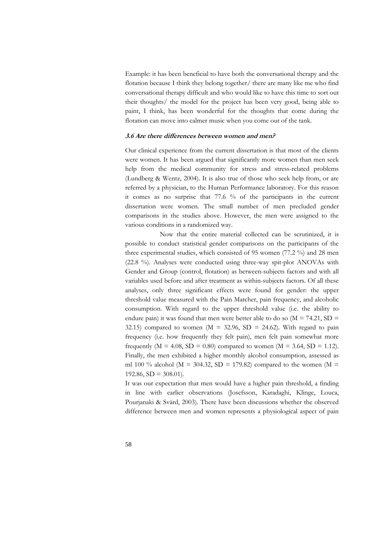Example: it has been beneficial to have both the conversational therapy and the flotation because I think they belong together/ there are many like me who find conversational therapy difficult and who would like to have this time to sort out their thoughts/ the model for the project has been very good, being able to paint, I think, has been wonderful for the thoughts that come during the flotation can move into calmer music when you come out of the tank.

#### **3.6 Are there differences between women and men?**

Our clinical experience from the current dissertation is that most of the clients were women. It has been argued that significantly more women than men seek help from the medical community for stress and stress-related problems (Lundberg & Wentz, 2004). It is also true of those who seek help from, or are referred by a physician, to the Human Performance laboratory. For this reason it comes as no surprise that 77.6 % of the participants in the current dissertation were women. The small number of men precluded gender comparisons in the studies above. However, the men were assigned to the various conditions in a randomized way.

 Now that the entire material collected can be scrutinized, it is possible to conduct statistical gender comparisons on the participants of the three experimental studies, which consisted of 95 women (77.2 %) and 28 men (22.8 %). Analyses were conducted using three-way spit-plot ANOVAs with Gender and Group (control, flotation) as between-subjects factors and with all variables used before and after treatment as within-subjects factors. Of all these analyses, only three significant effects were found for gender: the upper threshold value measured with the Pain Matcher, pain frequency, and alcoholic consumption. With regard to the upper threshold value (i.e. the ability to endure pain) it was found that men were better able to do so ( $M = 74.21$ ,  $SD =$ 32.15) compared to women ( $M = 32.96$ ,  $SD = 24.62$ ). With regard to pain frequency (i.e. how frequently they felt pain), men felt pain somewhat more frequently ( $M = 4.08$ ,  $SD = 0.80$ ) compared to women ( $M = 3.64$ ,  $SD = 1.12$ ). Finally, the men exhibited a higher monthly alcohol consumption, assessed as ml 100 % alcohol ( $M = 304.32$ , SD = 179.82) compared to the women ( $M =$  $192.86$ ,  $SD = 308.01$ ).

It was our expectation that men would have a higher pain threshold, a finding in line with earlier observations (Josefsson, Karadaghi, Klinge, Louca, Pourjanaki & Svärd, 2003). There have been discussions whether the observed difference between men and women represents a physiological aspect of pain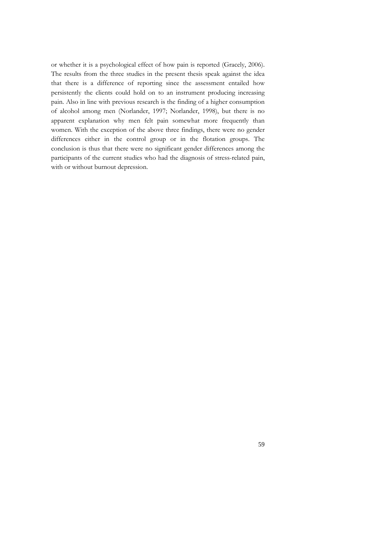or whether it is a psychological effect of how pain is reported (Gracely, 2006). The results from the three studies in the present thesis speak against the idea that there is a difference of reporting since the assessment entailed how persistently the clients could hold on to an instrument producing increasing pain. Also in line with previous research is the finding of a higher consumption of alcohol among men (Norlander, 1997; Norlander, 1998), but there is no apparent explanation why men felt pain somewhat more frequently than women. With the exception of the above three findings, there were no gender differences either in the control group or in the flotation groups. The conclusion is thus that there were no significant gender differences among the participants of the current studies who had the diagnosis of stress-related pain, with or without burnout depression.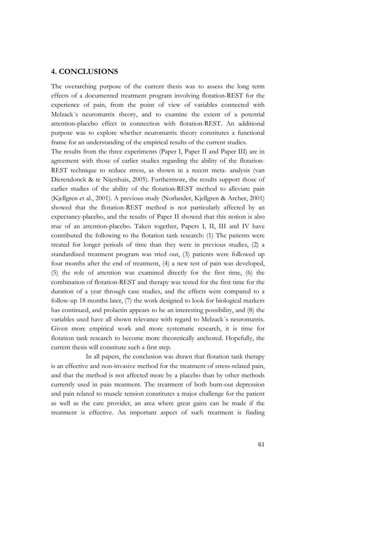## **4. CONCLUSIONS**

The overarching purpose of the current thesis was to assess the long term effects of a documented treatment program involving flotation-REST for the experience of pain, from the point of view of variables connected with Melzack´s neuromatrix theory, and to examine the extent of a potential attention-placebo effect in connection with flotation-REST. An additional purpose was to explore whether neuromatrix theory constitutes a functional frame for an understanding of the empirical results of the current studies.

The results from the three experiments (Paper I, Paper II and Paper III) are in agreement with those of earlier studies regarding the ability of the flotation-REST technique to reduce stress, as shown in a recent meta- analysis (van Dierendonck & te Nijenhuis, 2005). Furthermore, the results support those of earlier studies of the ability of the flotation-REST method to alleviate pain (Kjellgren et al., 2001). A previous study (Norlander, Kjellgren & Archer, 2001) showed that the flotation-REST method is not particularly affected by an expectancy-placebo, and the results of Paper II showed that this notion is also true of an attention-placebo. Taken together, Papers I, II, III and IV have contributed the following to the flotation tank research: (1) The patients were treated for longer periods of time than they were in previous studies, (2) a standardized treatment program was tried out, (3) patients were followed up four months after the end of treatment, (4) a new test of pain was developed, (5) the role of attention was examined directly for the first time, (6) the combination of flotation-REST and therapy was tested for the first time for the duration of a year through case studies, and the effects were compared to a follow-up 18 months later, (7) the work designed to look for biological markers has continued, and prolactin appears to be an interesting possibility, and (8) the variables used have all shown relevance with regard to Melzack´s neuromatrix. Given more empirical work and more systematic research, it is time for flotation tank research to become more theoretically anchored. Hopefully, the current thesis will constitute such a first step.

 In all papers, the conclusion was drawn that flotation tank therapy is an effective and non-invasive method for the treatment of stress-related pain, and that the method is not affected more by a placebo than by other methods currently used in pain treatment. The treatment of both burn-out depression and pain related to muscle tension constitutes a major challenge for the patient as well as the care provider, an area where great gains can be made if the treatment is effective. An important aspect of such treatment is finding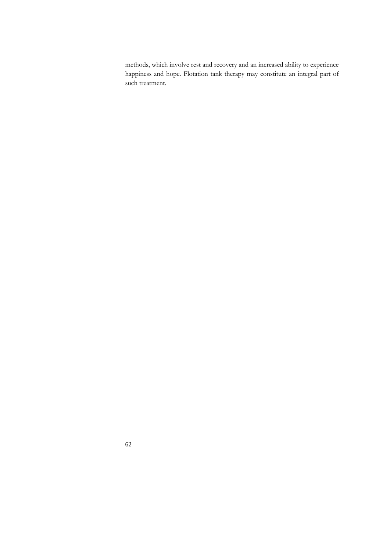methods, which involve rest and recovery and an increased ability to experience happiness and hope. Flotation tank therapy may constitute an integral part of such treatment.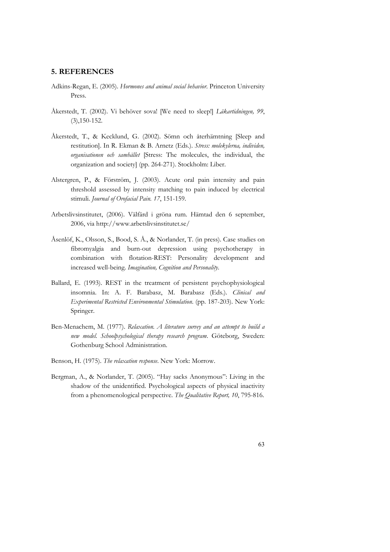### **5. REFERENCES**

- Adkins-Regan, E. (2005). *Hormones and animal social behavior*. Princeton University Press.
- Åkerstedt, T. (2002). Vi behöver sova! [We need to sleep!] *Läkartidningen, 99*, (3),150-152.
- Åkerstedt, T., & Kecklund, G. (2002). Sömn och återhämtning [Sleep and restitution]. In R. Ekman & B. Arnetz (Eds.). *Stress: molekylerna, individen, organisationen och samhället* [Stress: The molecules, the individual, the organization and society] (pp. 264-271). Stockholm: Liber.
- Alstergren, P., & Förström, J. (2003). Acute oral pain intensity and pain threshold assessed by intensity matching to pain induced by electrical stimuli. *Journal of Orofacial Pain. 17*, 151-159.
- Arbetslivsinstitutet, (2006). Välfärd i gröna rum. Hämtad den 6 september, 2006, via http://www.arbetslivsinstitutet.se/
- Åsenlöf, K., Olsson, S., Bood, S. Å., & Norlander, T. (in press). Case studies on fibromyalgia and burn-out depression using psychotherapy in combination with flotation-REST: Personality development and increased well-being. *Imagination, Cognition and Personality*.
- Ballard, E. (1993). REST in the treatment of persistent psychophysiological insomnia. In: A. F. Barabasz, M. Barabasz (Eds.). *Clinical and Experimental Restricted Environmental Stimulation*. (pp. 187-203). New York: Springer.
- Ben-Menachem, M. (1977). *Relaxation. A literature survey and an attempt to build a new model. Schoolpsychological therapy research program*. Göteborg, Sweden: Gothenburg School Administration.
- Benson, H. (1975). *The relaxation response*. New York: Morrow.
- Bergman, A., & Norlander, T. (2005). "Hay sacks Anonymous": Living in the shadow of the unidentified. Psychological aspects of physical inactivity from a phenomenological perspective. *The Qualitative Report, 10*, 795-816.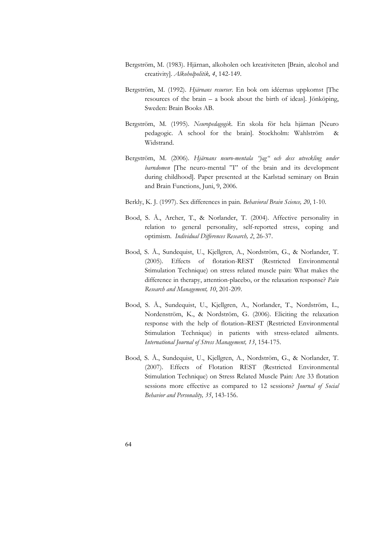- Bergström, M. (1983). Hjärnan, alkoholen och kreativiteten [Brain, alcohol and creativity]. *Alkoholpolitik, 4*, 142-149.
- Bergström, M. (1992). *Hjärnans resurser*. En bok om idéernas uppkomst [The resources of the brain – a book about the birth of ideas]. Jönköping, Sweden: Brain Books AB.
- Bergström, M. (1995). *Neuropedagogik*. En skola för hela hjärnan [Neuro pedagogic. A school for the brain]. Stockholm: Wahlström & Widstrand.
- Bergström, M. (2006). *Hjärnans neuro-mentala "jag" och dess utveckling under barndomen* [The neuro-mental "I" of the brain and its development during childhood]. Paper presented at the Karlstad seminary on Brain and Brain Functions, Juni, 9, 2006.
- Berkly, K. J. (1997). Sex differences in pain*. Behavioral Brain Science, 20*, 1-10.
- Bood, S. Å., Archer, T., & Norlander, T. (2004). Affective personality in relation to general personality, self-reported stress, coping and optimism. *Individual Differences Research, 2*, 26-37.
- Bood, S. Å., Sundequist, U., Kjellgren, A., Nordström, G., & Norlander, T. (2005). Effects of flotation-REST (Restricted Environmental Stimulation Technique) on stress related muscle pain: What makes the difference in therapy, attention-placebo, or the relaxation response? *Pain Research and Management, 10*, 201-209.
- Bood, S. Å., Sundequist, U., Kjellgren, A., Norlander, T., Nordström, L., Nordenström, K., & Nordström, G. (2006). Eliciting the relaxation response with the help of flotation–REST (Restricted Environmental Stimulation Technique) in patients with stress-related ailments. *International Journal of Stress Management, 13*, 154-175.
- Bood, S. Å., Sundequist, U., Kjellgren, A., Nordström, G., & Norlander, T. (2007). Effects of Flotation REST (Restricted Environmental Stimulation Technique) on Stress Related Muscle Pain: Are 33 flotation sessions more effective as compared to 12 sessions? *Journal of Social Behavior and Personality, 35*, 143-156.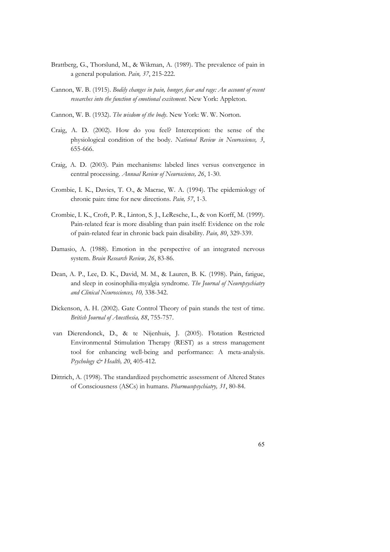- Brattberg, G., Thorslund, M., & Wikman, A. (1989). The prevalence of pain in a general population. *Pain, 37*, 215-222.
- Cannon, W. B. (1915). *Bodily changes in pain, hunger, fear and rage: An account of recent researches into the function of emotional excitement*. New York: Appleton.
- Cannon, W. B. (1932). *The wisdom of the body*. New York: W. W. Norton.
- Craig, A. D. (2002). How do you feel? Interception: the sense of the physiological condition of the body. *National Review in Neuroscience, 3*, 655-666.
- Craig, A. D. (2003). Pain mechanisms: labeled lines versus convergence in central processing. *Annual Review of Neuroscience, 26*, 1-30.
- Crombie, I. K., Davies, T. O., & Macrae, W. A. (1994). The epidemiology of chronic pain: time for new directions. *Pain, 57*, 1-3.
- Crombie, I. K., Croft, P. R., Linton, S. J., LeResche, L., & von Korff, M. (1999). Pain-related fear is more disabling than pain itself: Evidence on the role of pain-related fear in chronic back pain disability. *Pain, 80*, 329-339.
- Damasio, A. (1988). Emotion in the perspective of an integrated nervous system. *Brain Research Review, 26*, 83-86.
- Dean, A. P., Lee, D. K., David, M. M., & Lauren, B. K. (1998). Pain, fatigue, and sleep in eosinophilia-myalgia syndrome. *The Journal of Neuropsychiatry and Clinical Neurosciences, 10,* 338-342.
- Dickenson, A. H. (2002). Gate Control Theory of pain stands the test of time. *British Journal of Anesthesia, 88*, 755-757.
- van Dierendonck, D., & te Nijenhuis, J. (2005). Flotation Restricted Environmental Stimulation Therapy (REST) as a stress management tool for enhancing well-being and performance: A meta-analysis. *Psychology & Health, 20*, 405-412.
- Dittrich, A. (1998). The standardized psychometric assessment of Altered States of Consciousness (ASCs) in humans. *Pharmacopsychiatry, 31*, 80-84.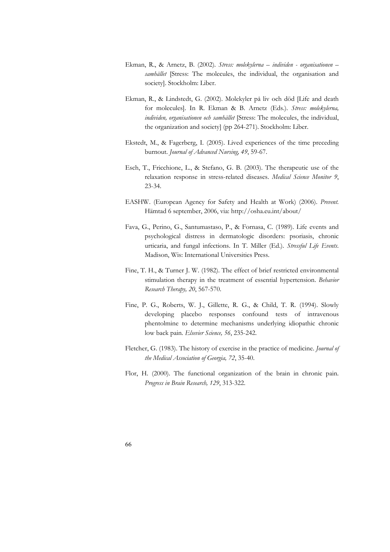- Ekman, R., & Arnetz, B. (2002). *Stress: molekylerna individen organisationen samhället* [Stress: The molecules, the individual, the organisation and society]. Stockholm: Liber.
- Ekman, R., & Lindstedt, G. (2002). Molekyler på liv och död [Life and death for molecules]. In R. Ekman & B. Arnetz (Eds.). *Stress: molekylerna, individen, organisationen och samhället* [Stress: The molecules, the individual, the organization and society] (pp 264-271). Stockholm: Liber.
- Ekstedt, M., & Fagerberg, I. (2005). Lived experiences of the time preceding burnout. *Journal of Advanced Nursing, 49*, 59-67.
- Esch, T., Fricchione, L., & Stefano, G. B. (2003). The therapeutic use of the relaxation response in stress-related diseases. *Medical Science Monitor 9*, 23-34.
- EASHW. (European Agency for Safety and Health at Work) (2006). *Prevent*. Hämtad 6 september, 2006, via: http://osha.eu.int/about/
- Fava, G., Perino, G., Santumastaso, P., & Fornasa, C. (1989). Life events and psychological distress in dermatologic disorders: psoriasis, chronic urticaria, and fungal infections. In T. Miller (Ed.). *Stressful Life Events*. Madison, Wis: International Universities Press.
- Fine, T. H., & Turner J. W. (1982). The effect of brief restricted environmental stimulation therapy in the treatment of essential hypertension. *Behavior Research Therapy, 20*, 567-570.
- Fine, P. G., Roberts, W. J., Gillette, R. G., & Child, T. R. (1994). Slowly developing placebo responses confound tests of intravenous phentolmine to determine mechanisms underlying idiopathic chronic low back pain. *Elsevier Science, 56*, 235-242.
- Fletcher, G. (1983). The history of exercise in the practice of medicine. *Journal of the Medical Association of Georgia, 72*, 35-40.
- Flor, H. (2000). The functional organization of the brain in chronic pain. *Progress in Brain Research, 129*, 313-322.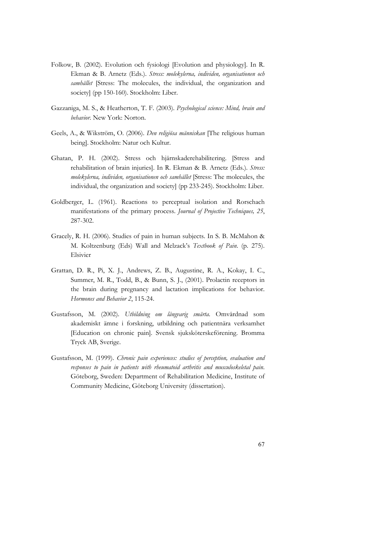- Folkow, B. (2002). Evolution och fysiologi [Evolution and physiology]. In R. Ekman & B. Arnetz (Eds.). *Stress: molekylerna, individen, organisationen och samhället* [Stress: The molecules, the individual, the organization and society] (pp 150-160). Stockholm: Liber.
- Gazzaniga, M. S., & Heatherton, T. F. (2003). *Psychological science: Mind, brain and behavior.* New York: Norton.
- Geels, A., & Wikström, O. (2006). *Den religiösa människan* [The religious human being]. Stockholm: Natur och Kultur.
- Ghatan, P. H. (2002). Stress och hjärnskaderehabilitering. [Stress and rehabilitation of brain injuries]. In R. Ekman & B. Arnetz (Eds.). *Stress: molekylerna, individen, organisationen och samhället* [Stress: The molecules, the individual, the organization and society] (pp 233-245). Stockholm: Liber.
- Goldberger, L. (1961). Reactions to perceptual isolation and Rorschach manifestations of the primary process. *Journal of Projective Techniques, 25*, 287-302.
- Gracely, R. H. (2006). Studies of pain in human subjects. In S. B. McMahon & M. Koltzenburg (Eds) Wall and Melzack's *Textbook of Pain*. (p. 275). Elsivier
- Grattan, D. R., Pi, X. J., Andrews, Z. B., Augustine, R. A., Kokay, I. C., Summer, M. R., Todd, B., & Bunn, S. J., (2001). Prolactin receptors in the brain during pregnancy and lactation implications for behavior. *Hormones and Behavior 2*, 115-24.
- Gustafsson, M. (2002). *Utbildning om långvarig smärta*. Omvårdnad som akademiskt ämne i forskning, utbildning och patientnära verksamhet [Education on chronic pain]. Svensk sjuksköterskeförening. Bromma Tryck AB, Sverige.
- Gustafsson, M. (1999). *Chronic pain experiences: studies of perception, evaluation and responses to pain in patients with rheumatoid arthritis and musculoskeletal pain*. Göteborg, Sweden: Department of Rehabilitation Medicine, Institute of Community Medicine, Göteborg University (dissertation).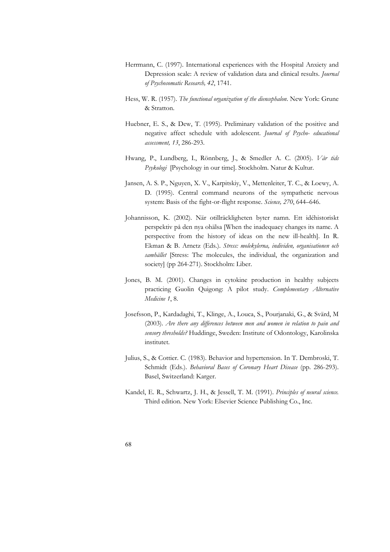- Herrmann, C. (1997). International experiences with the Hospital Anxiety and Depression scale: A review of validation data and clinical results. *Journal of Psychosomatic Research, 42*, 1741.
- Hess, W. R. (1957). *The functional organization of the diencephalon*. New York: Grune & Stratton.
- Huebner, E. S., & Dew, T. (1995). Preliminary validation of the positive and negative affect schedule with adolescent. *Journal of Psycho- educational assessment, 13*, 286-293.
- Hwang, P., Lundberg, I., Rönnberg, J., & Smedler A. C. (2005). *Vår tids Psykologi* [Psychology in our time]. Stockholm. Natur & Kultur.
- Jansen, A. S. P., Nguyen, X. V., Karpitskiy, V., Mettenleiter, T. C., & Loewy, A. D. (1995). Central command neurons of the sympathetic nervous system: Basis of the fight-or-flight response. *Science, 270*, 644–646.
- Johannisson, K. (2002). När otillräckligheten byter namn. Ett idéhistoriskt perspektiv på den nya ohälsa [When the inadequacy changes its name. A perspective from the history of ideas on the new ill-health]. In R. Ekman & B. Arnetz (Eds.). *Stress: molekylerna, individen, organisationen och samhället* [Stress: The molecules, the individual, the organization and society] (pp 264-271). Stockholm: Liber.
- Jones, B. M. (2001). Changes in cytokine production in healthy subjects practicing Guolin Quigong: A pilot study. *Complementary Alternative Medicine 1*, 8.
- Josefsson, P., Kardadaghi, T., Klinge, A., Louca, S., Pourjanaki, G., & Svärd, M (2003). *Are there any differences between men and women in relation to pain and sensory thresholds?* Huddinge, Sweden: Institute of Odontology, Karolinska institutet.
- Julius, S., & Cottier. C. (1983). Behavior and hypertension. In T. Dembroski, T. Schmidt (Eds.). *Behavioral Bases of Coronary Heart Disease* (pp. 286-293). Basel, Switzerland: Karger.
- Kandel, E. R., Schwartz, J. H., & Jessell, T. M. (1991). *Principles of neural science.* Third edition. New York: Elsevier Science Publishing Co., Inc.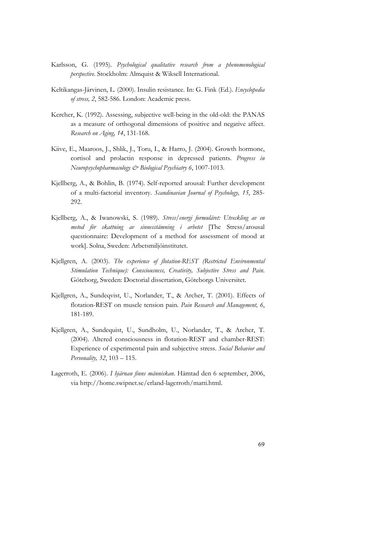- Karlsson, G. (1995). *Psychological qualitative research from a phenomenological perspective*. Stockholm: Almquist & Wiksell International.
- Keltikangas-Järvinen, L. (2000). Insulin resistance. In: G. Fink (Ed.). *Encyclopedia of stress, 2*, 582-586. London: Academic press.
- Kercher, K. (1992). Assessing, subjective well-being in the old-old: the PANAS as a measure of orthogonal dimensions of positive and negative affect. *Research on Aging, 14*, 131-168.
- Kiive, E., Maaroos, J., Shlik, J., Toru, I., & Harro, J. (2004). Growth hormone, cortisol and prolactin response in depressed patients. *Progress in Neuropsychopharmacology & Biological Psychiatry 6*, 1007-1013.
- Kjellberg, A., & Bohlin, B. (1974). Self-reported arousal: Further development of a multi-factorial inventory. *Scandinavian Journal of Psychology, 15*, 285- 292.
- Kjellberg, A., & Iwanowski, S. (1989). *Stress/energi formuläret: Utveckling av en metod för skattning av sinnesstämning i arbetet* [The Stress/arousal questionnaire: Development of a method for assessment of mood at work]. Solna, Sweden: Arbetsmiljöinstitutet.
- Kjellgren, A. (2003). *The experience of flotation-REST (Restricted Environmental Stimulation Technique): Consciousness, Creativity, Subjective Stress and Pain*. Göteborg, Sweden: Doctorial dissertation, Göteborgs Universitet.
- Kjellgren, A., Sundeqvist, U., Norlander, T., & Archer, T. (2001). Effects of flotation-REST on muscle tension pain. *Pain Research and Management, 6*, 181-189.
- Kjellgren, A., Sundequist, U., Sundholm, U., Norlander, T., & Archer, T. (2004). Altered consciousness in flotation-REST and chamber-REST: Experience of experimental pain and subjective stress. *Social Behavior and Personality, 32*, 103 – 115.
- Lagerroth, E. (2006). *I hjärnan finns människan*. Hämtad den 6 september, 2006, via http://home.swipnet.se/erland-lagerroth/matti.html.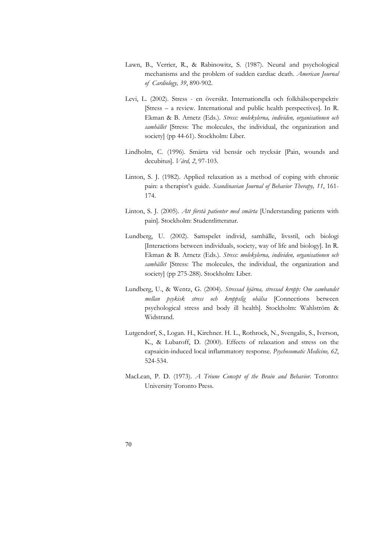- Lawn, B., Verrier, R., & Rabinowitz, S. (1987). Neural and psychological mechanisms and the problem of sudden cardiac death. *American Journal of Cardiology, 39*, 890-902.
- Levi, L. (2002). Stress en översikt. Internationella och folkhälsoperspektiv [Stress – a review. International and public health perspectives]. In R. Ekman & B. Arnetz (Eds.). *Stress: molekylerna, individen, organisationen och samhället* [Stress: The molecules, the individual, the organization and society] (pp 44-61). Stockholm: Liber.
- Lindholm, C. (1996). Smärta vid bensår och trycksår [Pain, wounds and decubitus]. *Vård, 2*, 97-103.
- Linton, S. J. (1982). Applied relaxation as a method of coping with chronic pain: a therapist's guide. *Scandinavian Journal of Behavior Therapy, 11*, 161- 174.
- Linton, S. J. (2005). *Att förstå patienter med smärta* [Understanding patients with pain]. Stockholm: Studentlitteratur.
- Lundberg, U. (2002). Samspelet individ, samhälle, livsstil, och biologi [Interactions between individuals, society, way of life and biology]. In R. Ekman & B. Arnetz (Eds.). *Stress: molekylerna, individen, organisationen och samhället* [Stress: The molecules, the individual, the organization and society] (pp 275-288). Stockholm: Liber.
- Lundberg, U., & Wentz, G. (2004). *Stressad hjärna, stressad kropp: Om sambandet mellan psykisk stress och kroppslig ohälsa* [Connections between psychological stress and body ill health]. Stockholm: Wahlström & Widstrand.
- Lutgendorf, S., Logan. H., Kirchner. H. L., Rothrock, N., Svengalis, S., Iverson, K., & Lubaroff, D. (2000). Effects of relaxation and stress on the capsaicin-induced local inflammatory response. *Psychosomatic Medicine, 62*, 524-534.
- MacLean, P. D. (1973). *A Triune Concept of the Brain and Behavior*. Toronto: University Toronto Press.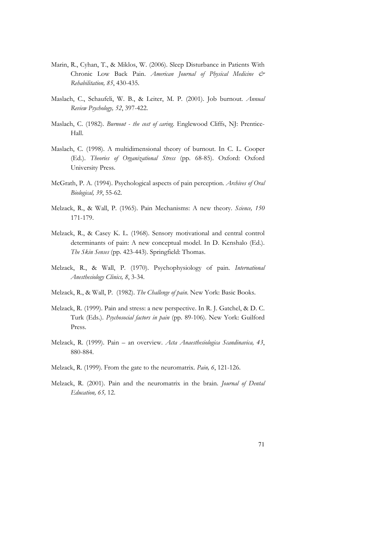- Marin, R., Cyhan, T., & Miklos, W. (2006). Sleep Disturbance in Patients With Chronic Low Back Pain. *American Journal of Physical Medicine & Rehabilitation, 85*, 430-435.
- Maslach, C., Schaufeli, W. B., & Leiter, M. P. (2001). Job burnout*. Annual Review Psychology, 52*, 397-422.
- Maslach, C. (1982). *Burnout the cost of caring*. Englewood Cliffs, NJ: Prentice-Hall.
- Maslach, C. (1998). A multidimensional theory of burnout. In C. L. Cooper (Ed.). *Theories of Organizational Stress* (pp. 68-85). Oxford: Oxford University Press.
- McGrath, P. A. (1994). Psychological aspects of pain perception. *Archives of Oral Biological, 39*, 55-62.
- Melzack, R., & Wall, P. (1965). Pain Mechanisms: A new theory. *Science, 150* 171-179.
- Melzack, R., & Casey K. L. (1968). Sensory motivational and central control determinants of pain: A new conceptual model. In D. Kenshalo (Ed.). *The Skin Senses* (pp. 423-443). Springfield: Thomas.
- Melzack, R., & Wall, P. (1970). Psychophysiology of pain. *International Anesthesiology Clinics, 8*, 3-34.
- Melzack, R., & Wall, P. (1982). *The Challenge of pain*. New York: Basic Books.
- Melzack, R. (1999). Pain and stress: a new perspective. In R. J. Gatchel, & D. C. Turk (Eds.). *Psychosocial factors in pain* (pp. 89-106). New York: Guilford Press.
- Melzack, R. (1999). Pain an overview. *Acta Anaesthesiologica Scandinavica, 43*, 880-884.
- Melzack, R. (1999). From the gate to the neuromatrix. *Pain, 6*, 121-126.
- Melzack, R. (2001). Pain and the neuromatrix in the brain. *Journal of Dental Education, 65,* 12.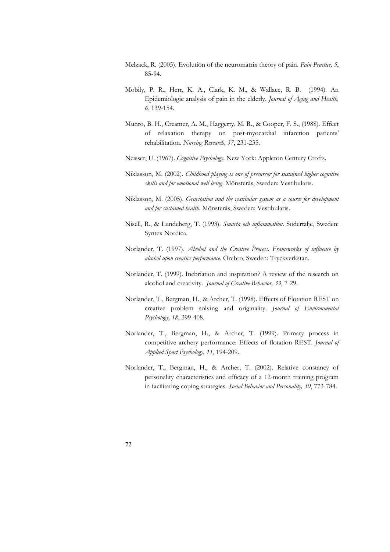- Melzack, R. (2005). Evolution of the neuromatrix theory of pain. *Pain Practice, 5*, 85-94.
- Mobily, P. R., Herr, K. A., Clark, K. M., & Wallace, R. B. (1994). An Epidemiologic analysis of pain in the elderly. *Journal of Aging and Health, 6*, 139-154.
- Munro, B. H., Creamer, A. M., Haggerty, M. R., & Cooper, F. S., (1988). Effect of relaxation therapy on post-myocardial infarction patients' rehabilitation. *Nursing Research, 37*, 231-235.
- Neisser, U. (1967). *Cognitive Psychology*. New York: Appleton Century Crofts.
- Niklasson, M. (2002). *Childhood playing is one of precursor for sustained higher cognitive skills and for emotional well being*. Mönsterås, Sweden: Vestibularis.
- Niklasson, M. (2005). *Gravitation and the vestibular system as a source for development and for sustained health*. Mönsterås, Sweden: Vestibularis.
- Nisell, R., & Lundeberg, T. (1993). *Smärta och inflammation*. Södertälje, Sweden: Syntex Nordica.
- Norlander, T. (1997). *Alcohol and the Creative Process. Frameworks of influence by alcohol upon creative performance.* Örebro, Sweden: Tryckverkstan.
- Norlander, T. (1999). Inebriation and inspiration? A review of the research on alcohol and creativity. *Journal of Creative Behavior, 33*, 7-29.
- Norlander, T., Bergman, H., & Archer, T. (1998). Effects of Flotation REST on creative problem solving and originality. *Journal of Environmental Psychology, 18*, 399-408.
- Norlander, T., Bergman, H., & Archer, T. (1999). Primary process in competitive archery performance: Effects of flotation REST. *Journal of Applied Sport Psychology, 11*, 194-209.
- Norlander, T., Bergman, H., & Archer, T. (2002). Relative constancy of personality characteristics and efficacy of a 12-month training program in facilitating coping strategies. *Social Behavior and Personality, 30*, 773-784.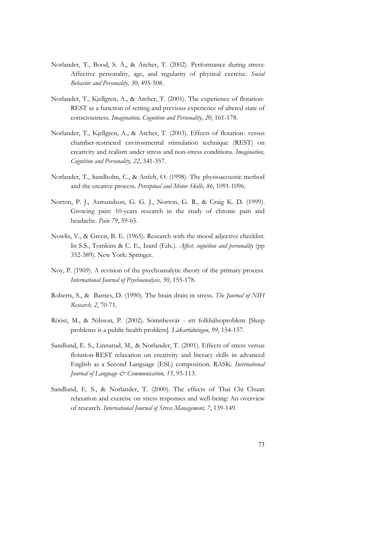- Norlander, T., Bood, S. Å., & Archer, T. (2002). Performance during stress: Affective personality, age, and regularity of physical exercise. *Social Behavior and Personality, 30*, 495-508.
- Norlander, T., Kjellgren, A., & Archer, T. (2001). The experience of flotation-REST as a function of setting and previous experience of altered state of consciousness. *Imagination, Cognition and Personality, 20*, 161-178.
- Norlander, T., Kjellgren, A., & Archer, T. (2003). Effects of flotation- versus chamber-restricted environmental stimulation technique (REST) on creativity and realism under stress and non-stress conditions. *Imagination, Cognition and Personality, 22*, 341-357.
- Norlander, T., Sandholm, C., & Anfelt, O. (1998). The physioacoustic method and the creative process. *Perceptual and Motor Skills, 86*, 1091-1096.
- Norton, P. J., Asmundson, G. G. J., Norton, G. R., & Craig K. D. (1999). Growing pain: 10-years research in the study of chronic pain and headache. *Pain 79*, 59-65.
- Nowlis, V., & Green, B. E. (1965). Research with the mood adjective checklist. In S.S., Tomkins & C. E., Izard (Eds.). *Affect, cognition and personality* (pp 352-389). New York: Springer.
- Noy, P. (1969). A revision of the psychoanalytic theory of the primary process. *International Journal of Psychoanalysis, 50*, 155-178.
- Roberts, S., & Barnes, D. (1990). The brain drain in stress. *The Journal of NIH Research, 2*, 70-71.
- Rööst, M., & Nilsson, P. (2002). Sömnbesvär ett folkhälsoproblem [Sleep problems is a public health problem]. *Läkartidningen, 99*, 154-157.
- Sandlund, E. S., Linnarud, M., & Norlander, T. (2001). Effects of stress versus flotation-REST relaxation on creativity and literacy skills in advanced English as a Second Language (ESL) composition. RASK. *International Journal of Language & Communication, 15*, 95-113.
- Sandlund, E. S., & Norlander, T. (2000). The effects of Thai Chi Chuan relaxation and exercise on stress responses and well-being: An overview of research. *International Journal of Stress Management, 7*, 139-149.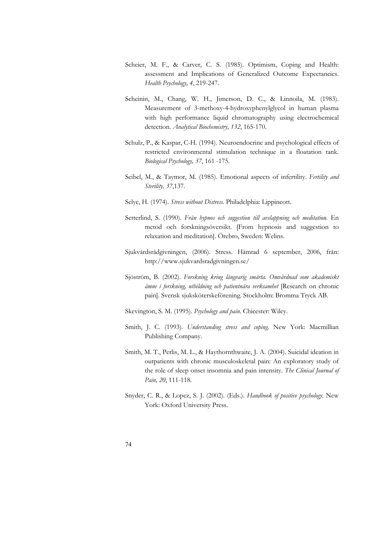- Scheier, M. F., & Carver, C. S. (1985). Optimism, Coping and Health: assessment and Implications of Generalized Outcome Expectancies. *Health Psychology, 4*, 219-247.
- Scheinin, M., Chang, W. H., Jimerson, D. C., & Linnoila, M. (1983). Measurement of 3-methoxy-4-hydroxyphenylglycol in human plasma with high performance liquid chromatography using electrochemical detection. *Analytical Biochemistry, 132*, 165-170.
- Schulz, P., & Kaspar, C-H. (1994). Neuroendocrine and psychological effects of restricted environmental stimulation technique in a floatation tank. *Biological Psychology, 37*, 161 -175.
- Seibel, M., & Taymor, M. (1985). Emotional aspects of infertility. *Fertility and Sterility, 37*,137.
- Selye, H. (1974). *Stress without Distress*. Philadelphia: Lippincott.
- Setterlind, S. (1990). *Från hypnos och suggestion till avslappning och meditation.* En metod och forskningsöversikt. [From hypnosis and suggestion to relaxation and meditation]. Örebro, Sweden: Welins.
- Sjukvårdsrådgivningen, (2006). Stress. Hämtad 6 september, 2006, från: http://www.sjukvardsradgivningen.se/
- Sjöström, B. (2002). *Forskning kring långvarig smärta. Omvårdnad som akademiskt ämne i forskning, utbildning och patientnära verksamhet* [Research on chronic pain]. Svensk sjuksköterskeförening. Stockholm: Bromma Tryck AB.
- Skevington, S. M. (1995). *Psychology and pain*. Chicester: Wiley.
- Smith, J. C. (1993). *Understanding stress and coping*. New York: Macmillian Publishing Company.
- Smith, M. T., Perlis, M. L., & Haythornthwaite, J. A. (2004). Suicidal ideation in outpatients with chronic musculoskeletal pain: An exploratory study of the role of sleep onset insomnia and pain intensity. *The Clinical Journal of Pain, 20*, 111-118.
- Snyder, C. R., & Lopez, S. J. (2002). (Eds.). *Handbook of positive psychology*. New York: Oxford University Press.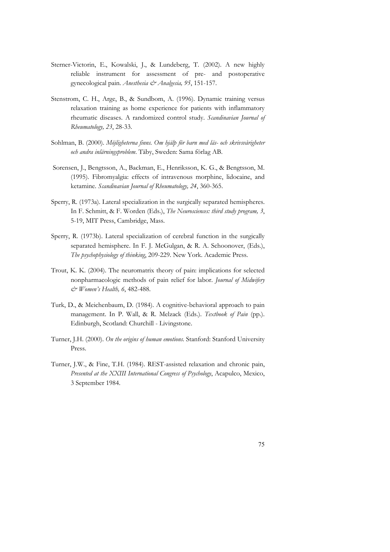- Sterner-Victorin, E., Kowalski, J., & Lundeberg, T. (2002). A new highly reliable instrument for assessment of pre- and postoperative gynecological pain. *Anesthesia & Analgesia, 95*, 151-157.
- Stenstrom, C. H., Arge, B., & Sundbom, A. (1996). Dynamic training versus relaxation training as home experience for patients with inflammatory rheumatic diseases. A randomized control study. *Scandinavian Journal of Rheumatology, 23*, 28-33.
- Sohlman, B. (2000). *Möjligheterna finns. Om hjälp för barn med läs- och skrivsvårigheter och andra inlärningsproblem*. Täby, Sweden: Sama förlag AB.
- Sorensen, J., Bengtsson, A., Backman, E., Henriksson, K. G., & Bengtsson, M. (1995). Fibromyalgia: effects of intravenous morphine, lidocaine, and ketamine. *Scandinavian Journal of Rheumatology, 24*, 360-365.
- Sperry, R. (1973a). Lateral specialization in the surgically separated hemispheres. In F. Schmitt, & F. Worden (Eds.), *The Neurosciences: third study program, 3*, 5-19, MIT Press, Cambridge, Mass.
- Sperry, R. (1973b). Lateral specialization of cerebral function in the surgically separated hemisphere. In F. J. McGulgan, & R. A. Schoonover, (Eds.), *The psychophysiology of thinking*, 209-229. New York. Academic Press.
- Trout, K. K. (2004). The neuromatrix theory of pain: implications for selected nonpharmacologic methods of pain relief for labor. *Journal of Midwifery & Women's Health, 6*, 482-488.
- Turk, D., & Meichenbaum, D. (1984). A cognitive-behavioral approach to pain management. In P. Wall, & R. Melzack (Eds.). *Textbook of Pain* (pp.). Edinburgh, Scotland: Churchill - Livingstone.
- Turner, J.H. (2000). *On the origins of human emotions*. Stanford: Stanford University Press.
- Turner, J.W., & Fine, T.H. (1984). REST-assisted relaxation and chronic pain, *Presented at the XXIII International Congress of Psychology*, Acapulco, Mexico, 3 September 1984.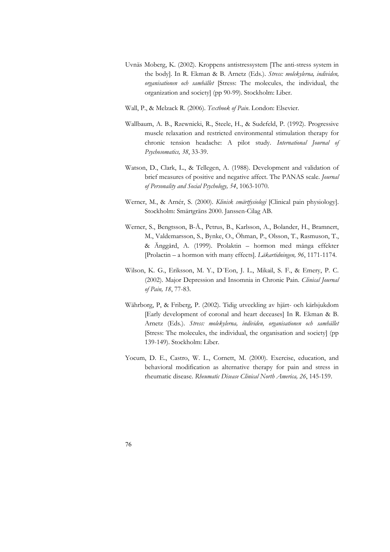- Uvnäs Moberg, K. (2002). Kroppens antistressystem [The anti-stress system in the body]. In R. Ekman & B. Arnetz (Eds.). *Stress: molekylerna, individen, organisationen och samhället* [Stress: The molecules, the individual, the organization and society] (pp 90-99). Stockholm: Liber.
- Wall, P., & Melzack R. (2006). *Textbook of Pain*. London: Elsevier.
- Wallbaum, A. B., Rzewnicki, R., Steele, H., & Sudefeld, P. (1992). Progressive muscle relaxation and restricted environmental stimulation therapy for chronic tension headache: A pilot study. *International Journal of Psychosomatics, 38*, 33-39.
- Watson, D., Clark, L., & Tellegen, A. (1988). Development and validation of brief measures of positive and negative affect. The PANAS scale. *Journal of Personality and Social Psychology, 54*, 1063-1070.
- Werner, M., & Arnér, S. (2000). *Klinisk smärtfysiologi* [Clinical pain physiology]. Stockholm: Smärtgräns 2000. Janssen-Cilag AB.
- Werner, S., Bengtsson, B-Å., Petrus, B., Karlsson, A., Bolander, H., Bramnert, M., Valdemarsson, S., Bynke, O., Öhman, P., Olsson, T., Rasmuson, T., & Änggård, A. (1999). Prolaktin – hormon med många effekter [Prolactin – a hormon with many effects]. *Läkartidningen, 96*, 1171-1174.
- Wilson, K. G., Eriksson, M. Y., D´Eon, J. L., Mikail, S. F., & Emery, P. C. (2002). Major Depression and Insomnia in Chronic Pain. *Clinical Journal of Pain, 18*, 77-83.
- Währborg, P, & Friberg, P. (2002). Tidig utveckling av hjärt- och kärlsjukdom [Early development of coronal and heart deceases] In R. Ekman & B. Arnetz (Eds.). *Stress: molekylerna, individen, organisationen och samhället*  [Stress: The molecules, the individual, the organisation and society] (pp 139-149). Stockholm: Liber.
- Yocum, D. E., Castro, W. L., Cornett, M. (2000). Exercise, education, and behavioral modification as alternative therapy for pain and stress in rheumatic disease. *Rheumatic Disease Clinical North America, 26*, 145-159.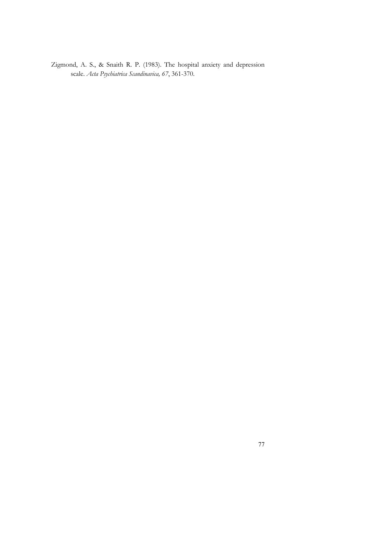Zigmond, A. S., & Snaith R. P. (1983). The hospital anxiety and depression scale. *Acta Psychiatrica Scandinavica, 67*, 361-370.